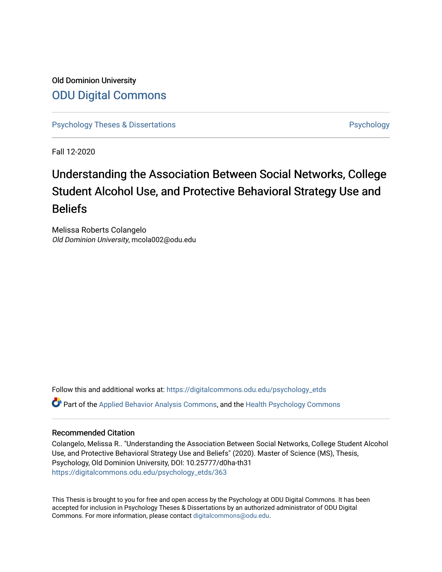Old Dominion University [ODU Digital Commons](https://digitalcommons.odu.edu/) 

[Psychology Theses & Dissertations](https://digitalcommons.odu.edu/psychology_etds) **Psychology** [Psychology](https://digitalcommons.odu.edu/psychology) **Psychology** 

Fall 12-2020

# Understanding the Association Between Social Networks, College Student Alcohol Use, and Protective Behavioral Strategy Use and Beliefs

Melissa Roberts Colangelo Old Dominion University, mcola002@odu.edu

Follow this and additional works at: [https://digitalcommons.odu.edu/psychology\\_etds](https://digitalcommons.odu.edu/psychology_etds?utm_source=digitalcommons.odu.edu%2Fpsychology_etds%2F363&utm_medium=PDF&utm_campaign=PDFCoverPages) Part of the [Applied Behavior Analysis Commons](http://network.bepress.com/hgg/discipline/1235?utm_source=digitalcommons.odu.edu%2Fpsychology_etds%2F363&utm_medium=PDF&utm_campaign=PDFCoverPages), and the [Health Psychology Commons](http://network.bepress.com/hgg/discipline/411?utm_source=digitalcommons.odu.edu%2Fpsychology_etds%2F363&utm_medium=PDF&utm_campaign=PDFCoverPages) 

# Recommended Citation

Colangelo, Melissa R.. "Understanding the Association Between Social Networks, College Student Alcohol Use, and Protective Behavioral Strategy Use and Beliefs" (2020). Master of Science (MS), Thesis, Psychology, Old Dominion University, DOI: 10.25777/d0ha-th31 [https://digitalcommons.odu.edu/psychology\\_etds/363](https://digitalcommons.odu.edu/psychology_etds/363?utm_source=digitalcommons.odu.edu%2Fpsychology_etds%2F363&utm_medium=PDF&utm_campaign=PDFCoverPages)

This Thesis is brought to you for free and open access by the Psychology at ODU Digital Commons. It has been accepted for inclusion in Psychology Theses & Dissertations by an authorized administrator of ODU Digital Commons. For more information, please contact [digitalcommons@odu.edu](mailto:digitalcommons@odu.edu).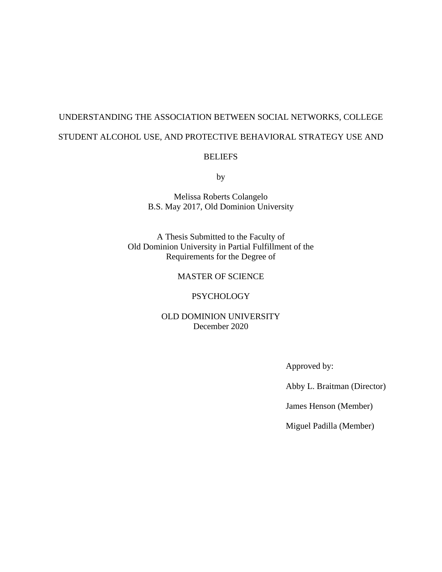# UNDERSTANDING THE ASSOCIATION BETWEEN SOCIAL NETWORKS, COLLEGE STUDENT ALCOHOL USE, AND PROTECTIVE BEHAVIORAL STRATEGY USE AND

# **BELIEFS**

by

Melissa Roberts Colangelo B.S. May 2017, Old Dominion University

A Thesis Submitted to the Faculty of Old Dominion University in Partial Fulfillment of the Requirements for the Degree of

# MASTER OF SCIENCE

## PSYCHOLOGY

# OLD DOMINION UNIVERSITY December 2020

Approved by:

Abby L. Braitman (Director)

James Henson (Member)

Miguel Padilla (Member)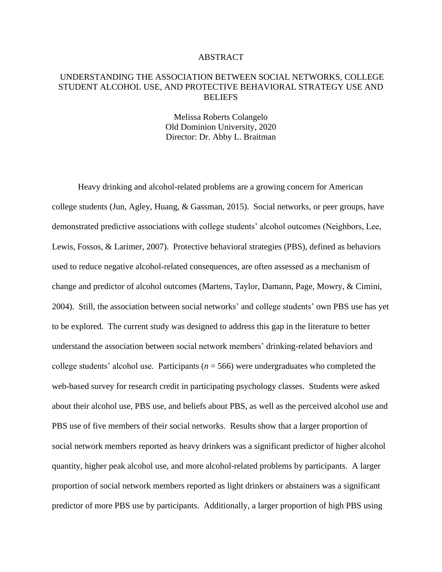## ABSTRACT

# UNDERSTANDING THE ASSOCIATION BETWEEN SOCIAL NETWORKS, COLLEGE STUDENT ALCOHOL USE, AND PROTECTIVE BEHAVIORAL STRATEGY USE AND **BELIEFS**

Melissa Roberts Colangelo Old Dominion University, 2020 Director: Dr. Abby L. Braitman

Heavy drinking and alcohol-related problems are a growing concern for American college students (Jun, Agley, Huang, & Gassman, 2015). Social networks, or peer groups, have demonstrated predictive associations with college students' alcohol outcomes (Neighbors, Lee, Lewis, Fossos, & Larimer, 2007). Protective behavioral strategies (PBS), defined as behaviors used to reduce negative alcohol-related consequences, are often assessed as a mechanism of change and predictor of alcohol outcomes (Martens, Taylor, Damann, Page, Mowry, & Cimini, 2004). Still, the association between social networks' and college students' own PBS use has yet to be explored. The current study was designed to address this gap in the literature to better understand the association between social network members' drinking-related behaviors and college students' alcohol use. Participants ( $n = 566$ ) were undergraduates who completed the web-based survey for research credit in participating psychology classes. Students were asked about their alcohol use, PBS use, and beliefs about PBS, as well as the perceived alcohol use and PBS use of five members of their social networks. Results show that a larger proportion of social network members reported as heavy drinkers was a significant predictor of higher alcohol quantity, higher peak alcohol use, and more alcohol-related problems by participants. A larger proportion of social network members reported as light drinkers or abstainers was a significant predictor of more PBS use by participants. Additionally, a larger proportion of high PBS using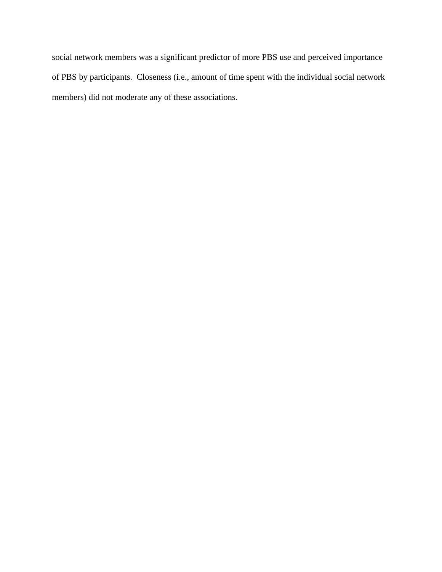social network members was a significant predictor of more PBS use and perceived importance of PBS by participants. Closeness (i.e., amount of time spent with the individual social network members) did not moderate any of these associations.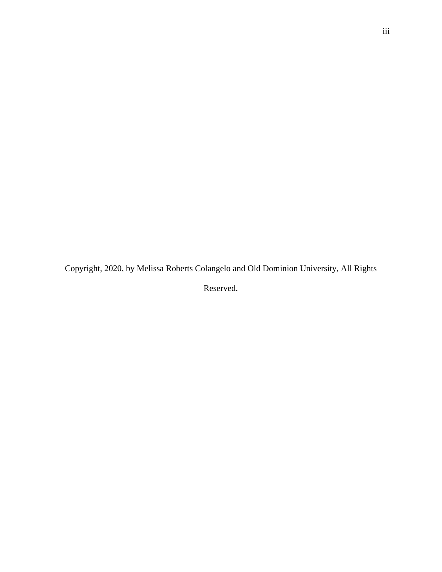Copyright, 2020, by Melissa Roberts Colangelo and Old Dominion University, All Rights

Reserved.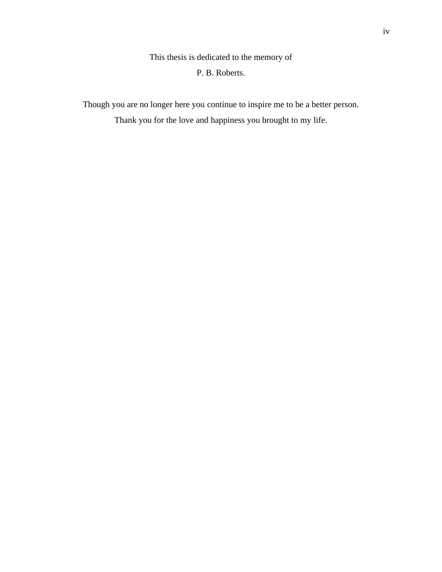This thesis is dedicated to the memory of P. B. Roberts.

Though you are no longer here you continue to inspire me to be a better person. Thank you for the love and happiness you brought to my life.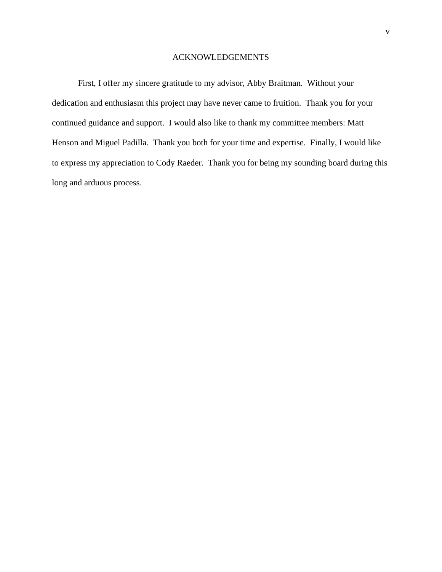### ACKNOWLEDGEMENTS

First, I offer my sincere gratitude to my advisor, Abby Braitman. Without your dedication and enthusiasm this project may have never came to fruition. Thank you for your continued guidance and support. I would also like to thank my committee members: Matt Henson and Miguel Padilla. Thank you both for your time and expertise. Finally, I would like to express my appreciation to Cody Raeder. Thank you for being my sounding board during this long and arduous process.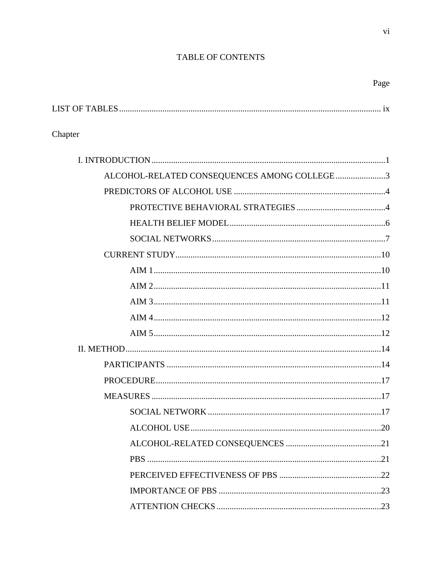# TABLE OF CONTENTS

# Page

# Chapter

| ALCOHOL-RELATED CONSEQUENCES AMONG COLLEGE3 |
|---------------------------------------------|
|                                             |
|                                             |
|                                             |
|                                             |
|                                             |
|                                             |
|                                             |
|                                             |
|                                             |
|                                             |
|                                             |
|                                             |
|                                             |
|                                             |
|                                             |
|                                             |
|                                             |
|                                             |
|                                             |
|                                             |
|                                             |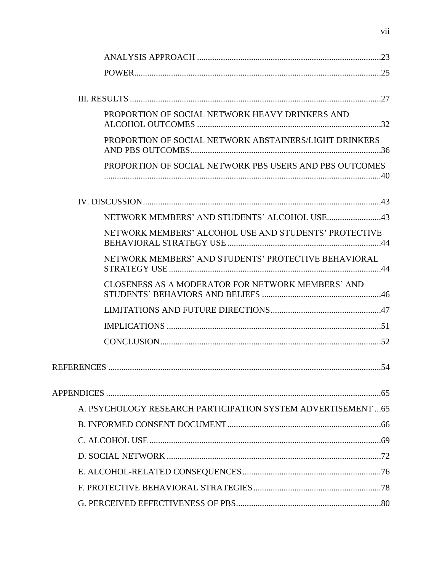| PROPORTION OF SOCIAL NETWORK HEAVY DRINKERS AND               |  |
|---------------------------------------------------------------|--|
| PROPORTION OF SOCIAL NETWORK ABSTAINERS/LIGHT DRINKERS        |  |
| PROPORTION OF SOCIAL NETWORK PBS USERS AND PBS OUTCOMES       |  |
|                                                               |  |
|                                                               |  |
| NETWORK MEMBERS' ALCOHOL USE AND STUDENTS' PROTECTIVE         |  |
| NETWORK MEMBERS' AND STUDENTS' PROTECTIVE BEHAVIORAL          |  |
| CLOSENESS AS A MODERATOR FOR NETWORK MEMBERS' AND             |  |
|                                                               |  |
|                                                               |  |
|                                                               |  |
|                                                               |  |
|                                                               |  |
| A. PSYCHOLOGY RESEARCH PARTICIPATION SYSTEM ADVERTISEMENT  65 |  |
|                                                               |  |
|                                                               |  |
|                                                               |  |
|                                                               |  |
|                                                               |  |
|                                                               |  |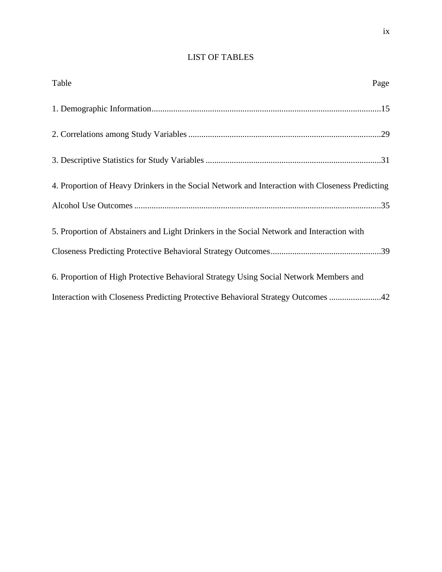# LIST OF TABLES

| Table                                                                                           | Page |
|-------------------------------------------------------------------------------------------------|------|
|                                                                                                 |      |
|                                                                                                 |      |
|                                                                                                 |      |
| 4. Proportion of Heavy Drinkers in the Social Network and Interaction with Closeness Predicting |      |
|                                                                                                 |      |
| 5. Proportion of Abstainers and Light Drinkers in the Social Network and Interaction with       |      |
|                                                                                                 |      |
| 6. Proportion of High Protective Behavioral Strategy Using Social Network Members and           |      |
| Interaction with Closeness Predicting Protective Behavioral Strategy Outcomes 42                |      |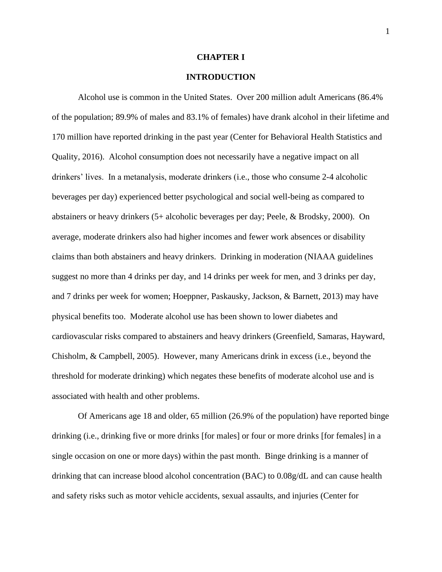#### **CHAPTER I**

# **INTRODUCTION**

Alcohol use is common in the United States. Over 200 million adult Americans (86.4% of the population; 89.9% of males and 83.1% of females) have drank alcohol in their lifetime and 170 million have reported drinking in the past year (Center for Behavioral Health Statistics and Quality, 2016). Alcohol consumption does not necessarily have a negative impact on all drinkers' lives. In a metanalysis, moderate drinkers (i.e., those who consume 2-4 alcoholic beverages per day) experienced better psychological and social well-being as compared to abstainers or heavy drinkers (5+ alcoholic beverages per day; Peele, & Brodsky, 2000). On average, moderate drinkers also had higher incomes and fewer work absences or disability claims than both abstainers and heavy drinkers. Drinking in moderation (NIAAA guidelines suggest no more than 4 drinks per day, and 14 drinks per week for men, and 3 drinks per day, and 7 drinks per week for women; Hoeppner, Paskausky, Jackson, & Barnett, 2013) may have physical benefits too. Moderate alcohol use has been shown to lower diabetes and cardiovascular risks compared to abstainers and heavy drinkers (Greenfield, Samaras, Hayward, Chisholm, & Campbell, 2005). However, many Americans drink in excess (i.e., beyond the threshold for moderate drinking) which negates these benefits of moderate alcohol use and is associated with health and other problems.

Of Americans age 18 and older, 65 million (26.9% of the population) have reported binge drinking (i.e., drinking five or more drinks [for males] or four or more drinks [for females] in a single occasion on one or more days) within the past month. Binge drinking is a manner of drinking that can increase blood alcohol concentration (BAC) to 0.08g/dL and can cause health and safety risks such as motor vehicle accidents, sexual assaults, and injuries (Center for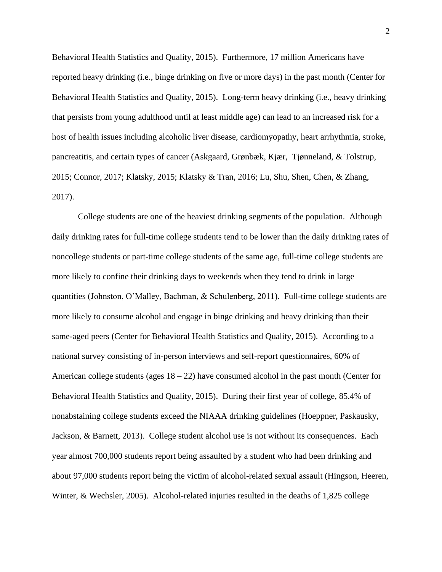Behavioral Health Statistics and Quality, 2015). Furthermore, 17 million Americans have reported heavy drinking (i.e., binge drinking on five or more days) in the past month (Center for Behavioral Health Statistics and Quality, 2015). Long-term heavy drinking (i.e., heavy drinking that persists from young adulthood until at least middle age) can lead to an increased risk for a host of health issues including alcoholic liver disease, cardiomyopathy, heart arrhythmia, stroke, pancreatitis, and certain types of cancer (Askgaard, Grønbæk, Kjær, Tjønneland, & Tolstrup, 2015; Connor, 2017; Klatsky, 2015; Klatsky & Tran, 2016; Lu, Shu, Shen, Chen, & Zhang, 2017).

College students are one of the heaviest drinking segments of the population. Although daily drinking rates for full-time college students tend to be lower than the daily drinking rates of noncollege students or part-time college students of the same age, full-time college students are more likely to confine their drinking days to weekends when they tend to drink in large quantities (Johnston, O'Malley, Bachman, & Schulenberg, 2011). Full-time college students are more likely to consume alcohol and engage in binge drinking and heavy drinking than their same-aged peers (Center for Behavioral Health Statistics and Quality, 2015). According to a national survey consisting of in-person interviews and self-report questionnaires, 60% of American college students (ages  $18 - 22$ ) have consumed alcohol in the past month (Center for Behavioral Health Statistics and Quality, 2015). During their first year of college, 85.4% of nonabstaining college students exceed the NIAAA drinking guidelines (Hoeppner, Paskausky, Jackson, & Barnett, 2013). College student alcohol use is not without its consequences. Each year almost 700,000 students report being assaulted by a student who had been drinking and about 97,000 students report being the victim of alcohol-related sexual assault (Hingson, Heeren, Winter, & Wechsler, 2005). Alcohol-related injuries resulted in the deaths of 1,825 college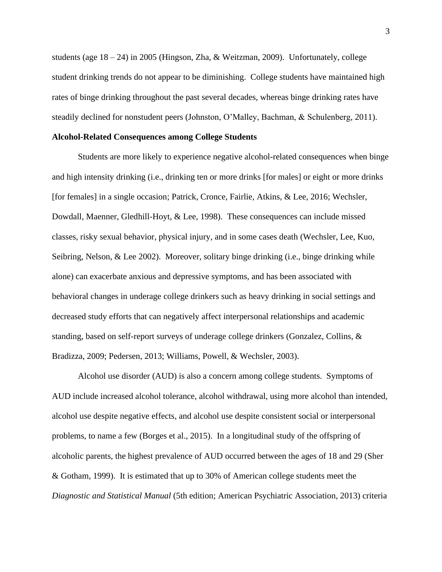students (age  $18 - 24$ ) in 2005 (Hingson, Zha, & Weitzman, 2009). Unfortunately, college student drinking trends do not appear to be diminishing. College students have maintained high rates of binge drinking throughout the past several decades, whereas binge drinking rates have steadily declined for nonstudent peers (Johnston, O'Malley, Bachman, & Schulenberg, 2011).

#### **Alcohol-Related Consequences among College Students**

Students are more likely to experience negative alcohol-related consequences when binge and high intensity drinking (i.e., drinking ten or more drinks [for males] or eight or more drinks [for females] in a single occasion; Patrick, Cronce, Fairlie, Atkins, & Lee, 2016; Wechsler, Dowdall, Maenner, Gledhill-Hoyt, & Lee, 1998). These consequences can include missed classes, risky sexual behavior, physical injury, and in some cases death (Wechsler, Lee, Kuo, Seibring, Nelson, & Lee 2002). Moreover, solitary binge drinking (i.e., binge drinking while alone) can exacerbate anxious and depressive symptoms, and has been associated with behavioral changes in underage college drinkers such as heavy drinking in social settings and decreased study efforts that can negatively affect interpersonal relationships and academic standing, based on self-report surveys of underage college drinkers (Gonzalez, Collins, & Bradizza, 2009; Pedersen, 2013; Williams, Powell, & Wechsler, 2003).

Alcohol use disorder (AUD) is also a concern among college students. Symptoms of AUD include increased alcohol tolerance, alcohol withdrawal, using more alcohol than intended, alcohol use despite negative effects, and alcohol use despite consistent social or interpersonal problems, to name a few (Borges et al., 2015). In a longitudinal study of the offspring of alcoholic parents, the highest prevalence of AUD occurred between the ages of 18 and 29 (Sher & Gotham, 1999). It is estimated that up to 30% of American college students meet the *Diagnostic and Statistical Manual* (5th edition; American Psychiatric Association, 2013) criteria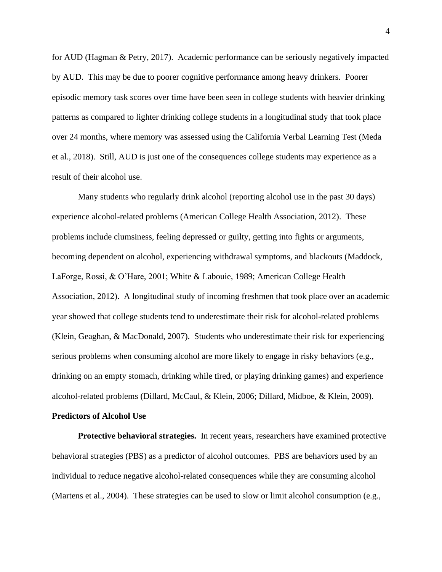for AUD (Hagman & Petry, 2017). Academic performance can be seriously negatively impacted by AUD. This may be due to poorer cognitive performance among heavy drinkers. Poorer episodic memory task scores over time have been seen in college students with heavier drinking patterns as compared to lighter drinking college students in a longitudinal study that took place over 24 months, where memory was assessed using the California Verbal Learning Test (Meda et al., 2018). Still, AUD is just one of the consequences college students may experience as a result of their alcohol use.

Many students who regularly drink alcohol (reporting alcohol use in the past 30 days) experience alcohol-related problems (American College Health Association, 2012). These problems include clumsiness, feeling depressed or guilty, getting into fights or arguments, becoming dependent on alcohol, experiencing withdrawal symptoms, and blackouts (Maddock, LaForge, Rossi, & O'Hare, 2001; White & Labouie, 1989; American College Health Association, 2012). A longitudinal study of incoming freshmen that took place over an academic year showed that college students tend to underestimate their risk for alcohol-related problems (Klein, Geaghan, & MacDonald, 2007). Students who underestimate their risk for experiencing serious problems when consuming alcohol are more likely to engage in risky behaviors (e.g., drinking on an empty stomach, drinking while tired, or playing drinking games) and experience alcohol-related problems (Dillard, McCaul, & Klein, 2006; Dillard, Midboe, & Klein, 2009).

#### **Predictors of Alcohol Use**

**Protective behavioral strategies.** In recent years, researchers have examined protective behavioral strategies (PBS) as a predictor of alcohol outcomes. PBS are behaviors used by an individual to reduce negative alcohol-related consequences while they are consuming alcohol (Martens et al., 2004). These strategies can be used to slow or limit alcohol consumption (e.g.,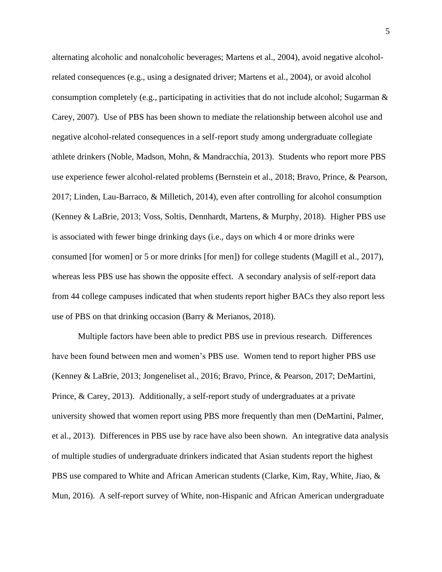alternating alcoholic and nonalcoholic beverages; Martens et al., 2004), avoid negative alcoholrelated consequences (e.g., using a designated driver; Martens et al., 2004), or avoid alcohol consumption completely (e.g., participating in activities that do not include alcohol; Sugarman  $\&$ Carey, 2007). Use of PBS has been shown to mediate the relationship between alcohol use and negative alcohol-related consequences in a self-report study among undergraduate collegiate athlete drinkers (Noble, Madson, Mohn, & Mandracchia, 2013). Students who report more PBS use experience fewer alcohol-related problems (Bernstein et al., 2018; Bravo, Prince, & Pearson, 2017; Linden, Lau-Barraco, & Milletich, 2014), even after controlling for alcohol consumption (Kenney & LaBrie, 2013; Voss, Soltis, Dennhardt, Martens, & Murphy, 2018). Higher PBS use is associated with fewer binge drinking days (i.e., days on which 4 or more drinks were consumed [for women] or 5 or more drinks [for men]) for college students (Magill et al., 2017), whereas less PBS use has shown the opposite effect. A secondary analysis of self-report data from 44 college campuses indicated that when students report higher BACs they also report less use of PBS on that drinking occasion (Barry & Merianos, 2018).

Multiple factors have been able to predict PBS use in previous research. Differences have been found between men and women's PBS use. Women tend to report higher PBS use (Kenney & LaBrie, 2013; Jongeneliset al., 2016; Bravo, Prince, & Pearson, 2017; DeMartini, Prince, & Carey, 2013). Additionally, a self-report study of undergraduates at a private university showed that women report using PBS more frequently than men (DeMartini, Palmer, et al., 2013). Differences in PBS use by race have also been shown. An integrative data analysis of multiple studies of undergraduate drinkers indicated that Asian students report the highest PBS use compared to White and African American students (Clarke, Kim, Ray, White, Jiao, & Mun, 2016). A self-report survey of White, non-Hispanic and African American undergraduate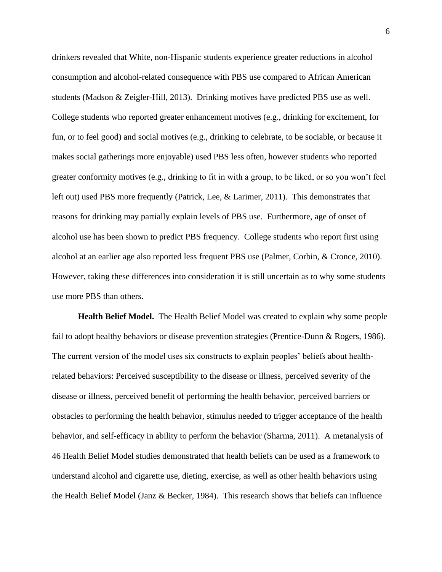drinkers revealed that White, non-Hispanic students experience greater reductions in alcohol consumption and alcohol-related consequence with PBS use compared to African American students (Madson & Zeigler-Hill, 2013). Drinking motives have predicted PBS use as well. College students who reported greater enhancement motives (e.g., drinking for excitement, for fun, or to feel good) and social motives (e.g., drinking to celebrate, to be sociable, or because it makes social gatherings more enjoyable) used PBS less often, however students who reported greater conformity motives (e.g., drinking to fit in with a group, to be liked, or so you won't feel left out) used PBS more frequently (Patrick, Lee, & Larimer, 2011). This demonstrates that reasons for drinking may partially explain levels of PBS use. Furthermore, age of onset of alcohol use has been shown to predict PBS frequency. College students who report first using alcohol at an earlier age also reported less frequent PBS use (Palmer, Corbin, & Cronce, 2010). However, taking these differences into consideration it is still uncertain as to why some students use more PBS than others.

**Health Belief Model.** The Health Belief Model was created to explain why some people fail to adopt healthy behaviors or disease prevention strategies (Prentice-Dunn & Rogers, 1986). The current version of the model uses six constructs to explain peoples' beliefs about healthrelated behaviors: Perceived susceptibility to the disease or illness, perceived severity of the disease or illness, perceived benefit of performing the health behavior, perceived barriers or obstacles to performing the health behavior, stimulus needed to trigger acceptance of the health behavior, and self-efficacy in ability to perform the behavior (Sharma, 2011). A metanalysis of 46 Health Belief Model studies demonstrated that health beliefs can be used as a framework to understand alcohol and cigarette use, dieting, exercise, as well as other health behaviors using the Health Belief Model (Janz & Becker, 1984). This research shows that beliefs can influence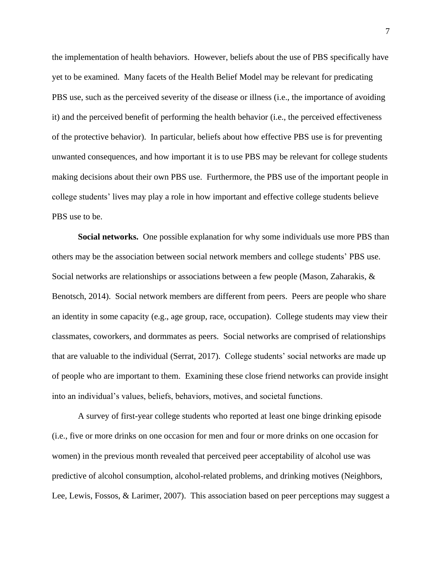the implementation of health behaviors. However, beliefs about the use of PBS specifically have yet to be examined. Many facets of the Health Belief Model may be relevant for predicating PBS use, such as the perceived severity of the disease or illness (i.e., the importance of avoiding it) and the perceived benefit of performing the health behavior (i.e., the perceived effectiveness of the protective behavior). In particular, beliefs about how effective PBS use is for preventing unwanted consequences, and how important it is to use PBS may be relevant for college students making decisions about their own PBS use. Furthermore, the PBS use of the important people in college students' lives may play a role in how important and effective college students believe PBS use to be.

**Social networks.** One possible explanation for why some individuals use more PBS than others may be the association between social network members and college students' PBS use. Social networks are relationships or associations between a few people (Mason, Zaharakis, & Benotsch, 2014). Social network members are different from peers. Peers are people who share an identity in some capacity (e.g., age group, race, occupation). College students may view their classmates, coworkers, and dormmates as peers. Social networks are comprised of relationships that are valuable to the individual (Serrat, 2017). College students' social networks are made up of people who are important to them. Examining these close friend networks can provide insight into an individual's values, beliefs, behaviors, motives, and societal functions.

A survey of first-year college students who reported at least one binge drinking episode (i.e., five or more drinks on one occasion for men and four or more drinks on one occasion for women) in the previous month revealed that perceived peer acceptability of alcohol use was predictive of alcohol consumption, alcohol-related problems, and drinking motives (Neighbors, Lee, Lewis, Fossos, & Larimer, 2007). This association based on peer perceptions may suggest a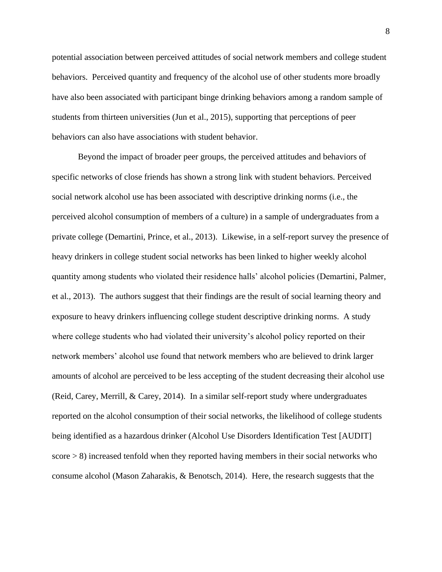potential association between perceived attitudes of social network members and college student behaviors. Perceived quantity and frequency of the alcohol use of other students more broadly have also been associated with participant binge drinking behaviors among a random sample of students from thirteen universities (Jun et al., 2015), supporting that perceptions of peer behaviors can also have associations with student behavior.

Beyond the impact of broader peer groups, the perceived attitudes and behaviors of specific networks of close friends has shown a strong link with student behaviors. Perceived social network alcohol use has been associated with descriptive drinking norms (i.e., the perceived alcohol consumption of members of a culture) in a sample of undergraduates from a private college (Demartini, Prince, et al., 2013). Likewise, in a self-report survey the presence of heavy drinkers in college student social networks has been linked to higher weekly alcohol quantity among students who violated their residence halls' alcohol policies (Demartini, Palmer, et al., 2013). The authors suggest that their findings are the result of social learning theory and exposure to heavy drinkers influencing college student descriptive drinking norms. A study where college students who had violated their university's alcohol policy reported on their network members' alcohol use found that network members who are believed to drink larger amounts of alcohol are perceived to be less accepting of the student decreasing their alcohol use (Reid, Carey, Merrill, & Carey, 2014). In a similar self-report study where undergraduates reported on the alcohol consumption of their social networks, the likelihood of college students being identified as a hazardous drinker (Alcohol Use Disorders Identification Test [AUDIT] score > 8) increased tenfold when they reported having members in their social networks who consume alcohol (Mason Zaharakis, & Benotsch, 2014). Here, the research suggests that the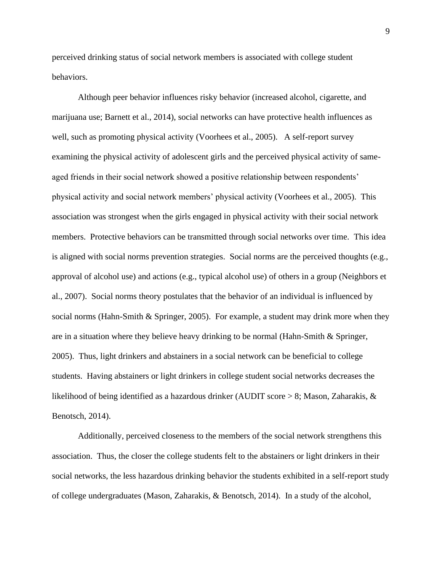perceived drinking status of social network members is associated with college student behaviors.

Although peer behavior influences risky behavior (increased alcohol, cigarette, and marijuana use; Barnett et al., 2014), social networks can have protective health influences as well, such as promoting physical activity (Voorhees et al., 2005). A self-report survey examining the physical activity of adolescent girls and the perceived physical activity of sameaged friends in their social network showed a positive relationship between respondents' physical activity and social network members' physical activity (Voorhees et al., 2005). This association was strongest when the girls engaged in physical activity with their social network members. Protective behaviors can be transmitted through social networks over time. This idea is aligned with social norms prevention strategies. Social norms are the perceived thoughts (e.g., approval of alcohol use) and actions (e.g., typical alcohol use) of others in a group (Neighbors et al., 2007). Social norms theory postulates that the behavior of an individual is influenced by social norms (Hahn-Smith & Springer, 2005). For example, a student may drink more when they are in a situation where they believe heavy drinking to be normal (Hahn-Smith & Springer, 2005). Thus, light drinkers and abstainers in a social network can be beneficial to college students. Having abstainers or light drinkers in college student social networks decreases the likelihood of being identified as a hazardous drinker (AUDIT score > 8; Mason, Zaharakis, & Benotsch, 2014).

Additionally, perceived closeness to the members of the social network strengthens this association. Thus, the closer the college students felt to the abstainers or light drinkers in their social networks, the less hazardous drinking behavior the students exhibited in a self-report study of college undergraduates (Mason, Zaharakis, & Benotsch, 2014). In a study of the alcohol,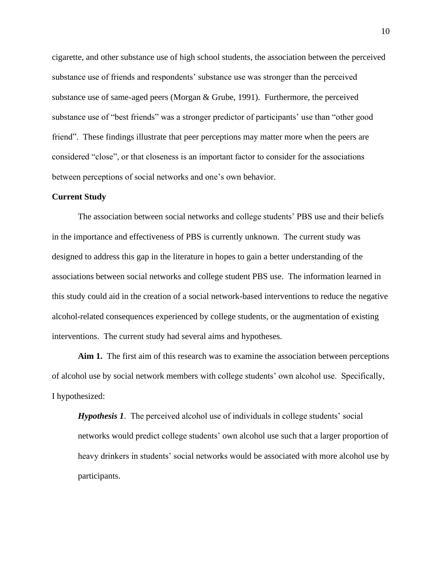cigarette, and other substance use of high school students, the association between the perceived substance use of friends and respondents' substance use was stronger than the perceived substance use of same-aged peers (Morgan & Grube, 1991). Furthermore, the perceived substance use of "best friends" was a stronger predictor of participants' use than "other good friend". These findings illustrate that peer perceptions may matter more when the peers are considered "close", or that closeness is an important factor to consider for the associations between perceptions of social networks and one's own behavior.

#### **Current Study**

The association between social networks and college students' PBS use and their beliefs in the importance and effectiveness of PBS is currently unknown. The current study was designed to address this gap in the literature in hopes to gain a better understanding of the associations between social networks and college student PBS use. The information learned in this study could aid in the creation of a social network-based interventions to reduce the negative alcohol-related consequences experienced by college students, or the augmentation of existing interventions. The current study had several aims and hypotheses.

**Aim 1.** The first aim of this research was to examine the association between perceptions of alcohol use by social network members with college students' own alcohol use. Specifically, I hypothesized:

*Hypothesis 1*. The perceived alcohol use of individuals in college students' social networks would predict college students' own alcohol use such that a larger proportion of heavy drinkers in students' social networks would be associated with more alcohol use by participants.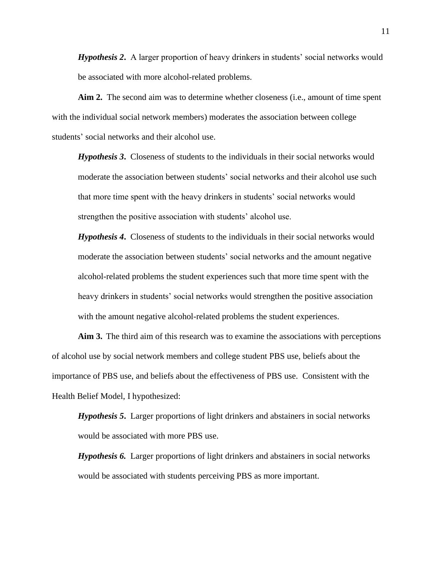*Hypothesis 2***.** A larger proportion of heavy drinkers in students' social networks would be associated with more alcohol-related problems.

**Aim 2.** The second aim was to determine whether closeness (i.e., amount of time spent with the individual social network members) moderates the association between college students' social networks and their alcohol use.

*Hypothesis 3***.** Closeness of students to the individuals in their social networks would moderate the association between students' social networks and their alcohol use such that more time spent with the heavy drinkers in students' social networks would strengthen the positive association with students' alcohol use.

*Hypothesis 4***.** Closeness of students to the individuals in their social networks would moderate the association between students' social networks and the amount negative alcohol-related problems the student experiences such that more time spent with the heavy drinkers in students' social networks would strengthen the positive association with the amount negative alcohol-related problems the student experiences.

**Aim 3.** The third aim of this research was to examine the associations with perceptions of alcohol use by social network members and college student PBS use, beliefs about the importance of PBS use, and beliefs about the effectiveness of PBS use. Consistent with the Health Belief Model, I hypothesized:

*Hypothesis 5***.** Larger proportions of light drinkers and abstainers in social networks would be associated with more PBS use.

*Hypothesis 6.* Larger proportions of light drinkers and abstainers in social networks would be associated with students perceiving PBS as more important.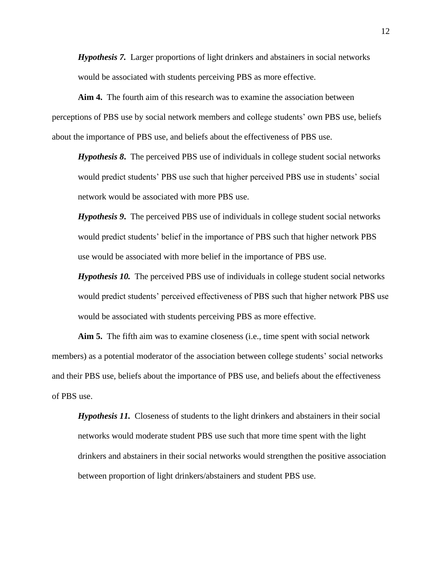*Hypothesis 7.* Larger proportions of light drinkers and abstainers in social networks would be associated with students perceiving PBS as more effective.

**Aim 4.** The fourth aim of this research was to examine the association between perceptions of PBS use by social network members and college students' own PBS use, beliefs about the importance of PBS use, and beliefs about the effectiveness of PBS use.

*Hypothesis 8***.** The perceived PBS use of individuals in college student social networks would predict students' PBS use such that higher perceived PBS use in students' social network would be associated with more PBS use.

*Hypothesis 9***.** The perceived PBS use of individuals in college student social networks would predict students' belief in the importance of PBS such that higher network PBS use would be associated with more belief in the importance of PBS use.

*Hypothesis 10.* The perceived PBS use of individuals in college student social networks would predict students' perceived effectiveness of PBS such that higher network PBS use would be associated with students perceiving PBS as more effective.

**Aim 5.** The fifth aim was to examine closeness (i.e., time spent with social network members) as a potential moderator of the association between college students' social networks and their PBS use, beliefs about the importance of PBS use, and beliefs about the effectiveness of PBS use.

*Hypothesis 11.* Closeness of students to the light drinkers and abstainers in their social networks would moderate student PBS use such that more time spent with the light drinkers and abstainers in their social networks would strengthen the positive association between proportion of light drinkers/abstainers and student PBS use.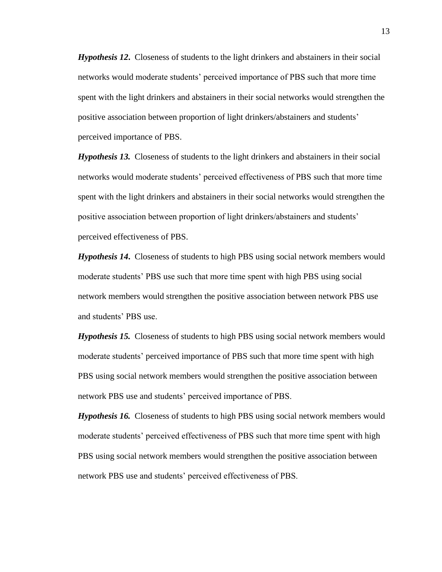*Hypothesis 12***.** Closeness of students to the light drinkers and abstainers in their social networks would moderate students' perceived importance of PBS such that more time spent with the light drinkers and abstainers in their social networks would strengthen the positive association between proportion of light drinkers/abstainers and students' perceived importance of PBS.

*Hypothesis 13.* Closeness of students to the light drinkers and abstainers in their social networks would moderate students' perceived effectiveness of PBS such that more time spent with the light drinkers and abstainers in their social networks would strengthen the positive association between proportion of light drinkers/abstainers and students' perceived effectiveness of PBS.

*Hypothesis 14***.** Closeness of students to high PBS using social network members would moderate students' PBS use such that more time spent with high PBS using social network members would strengthen the positive association between network PBS use and students' PBS use.

*Hypothesis 15.* Closeness of students to high PBS using social network members would moderate students' perceived importance of PBS such that more time spent with high PBS using social network members would strengthen the positive association between network PBS use and students' perceived importance of PBS.

*Hypothesis 16.* Closeness of students to high PBS using social network members would moderate students' perceived effectiveness of PBS such that more time spent with high PBS using social network members would strengthen the positive association between network PBS use and students' perceived effectiveness of PBS.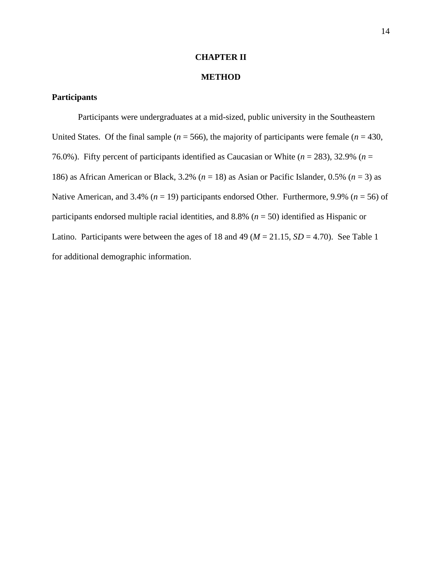## **CHAPTER II**

# **METHOD**

# **Participants**

Participants were undergraduates at a mid-sized, public university in the Southeastern United States. Of the final sample ( $n = 566$ ), the majority of participants were female ( $n = 430$ , 76.0%). Fifty percent of participants identified as Caucasian or White  $(n = 283)$ , 32.9%  $(n = 100)$ 186) as African American or Black, 3.2% (*n* = 18) as Asian or Pacific Islander, 0.5% (*n* = 3) as Native American, and 3.4% (*n* = 19) participants endorsed Other. Furthermore, 9.9% (*n* = 56) of participants endorsed multiple racial identities, and 8.8% (*n* = 50) identified as Hispanic or Latino. Participants were between the ages of 18 and 49 ( $M = 21.15$ ,  $SD = 4.70$ ). See Table 1 for additional demographic information.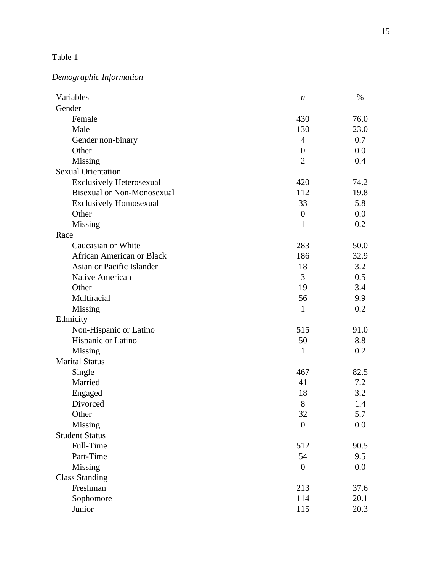#### Table 1

# *Demographic Information*

| Variables                         | $\boldsymbol{n}$ | $\%$ |
|-----------------------------------|------------------|------|
| Gender                            |                  |      |
| Female                            | 430              | 76.0 |
| Male                              | 130              | 23.0 |
| Gender non-binary                 | $\overline{4}$   | 0.7  |
| Other                             | $\boldsymbol{0}$ | 0.0  |
| Missing                           | $\overline{2}$   | 0.4  |
| <b>Sexual Orientation</b>         |                  |      |
| <b>Exclusively Heterosexual</b>   | 420              | 74.2 |
| <b>Bisexual or Non-Monosexual</b> | 112              | 19.8 |
| <b>Exclusively Homosexual</b>     | 33               | 5.8  |
| Other                             | $\boldsymbol{0}$ | 0.0  |
| Missing                           | 1                | 0.2  |
| Race                              |                  |      |
| Caucasian or White                | 283              | 50.0 |
| <b>African American or Black</b>  | 186              | 32.9 |
| Asian or Pacific Islander         | 18               | 3.2  |
| Native American                   | 3                | 0.5  |
| Other                             | 19               | 3.4  |
| Multiracial                       | 56               | 9.9  |
| Missing                           | 1                | 0.2  |
| Ethnicity                         |                  |      |
| Non-Hispanic or Latino            | 515              | 91.0 |
| Hispanic or Latino                | 50               | 8.8  |
| Missing                           | 1                | 0.2  |
| <b>Marital Status</b>             |                  |      |
| Single                            | 467              | 82.5 |
| Married                           | 41               | 7.2  |
| Engaged                           | 18               | 3.2  |
| Divorced                          | 8                | 1.4  |
| Other                             | 32               | 5.7  |
| Missing                           | $\overline{0}$   | 0.0  |
| <b>Student Status</b>             |                  |      |
| Full-Time                         | 512              | 90.5 |
| Part-Time                         | 54               | 9.5  |
| <b>Missing</b>                    | $\boldsymbol{0}$ | 0.0  |
| <b>Class Standing</b>             |                  |      |
| Freshman                          | 213              | 37.6 |
| Sophomore                         | 114              | 20.1 |
| Junior                            | 115              | 20.3 |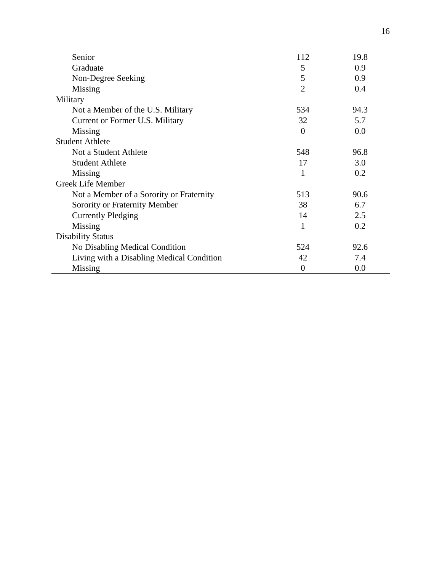| Senior                                    | 112            | 19.8 |
|-------------------------------------------|----------------|------|
| Graduate                                  | 5              | 0.9  |
| Non-Degree Seeking                        | 5              | 0.9  |
| Missing                                   | $\overline{2}$ | 0.4  |
| Military                                  |                |      |
| Not a Member of the U.S. Military         | 534            | 94.3 |
| Current or Former U.S. Military           | 32             | 5.7  |
| Missing                                   | $\theta$       | 0.0  |
| <b>Student Athlete</b>                    |                |      |
| Not a Student Athlete                     | 548            | 96.8 |
| <b>Student Athlete</b>                    | 17             | 3.0  |
| Missing                                   | 1              | 0.2  |
| Greek Life Member                         |                |      |
| Not a Member of a Sorority or Fraternity  | 513            | 90.6 |
| Sorority or Fraternity Member             | 38             | 6.7  |
| <b>Currently Pledging</b>                 | 14             | 2.5  |
| Missing                                   | 1              | 0.2  |
| <b>Disability Status</b>                  |                |      |
| No Disabling Medical Condition            | 524            | 92.6 |
| Living with a Disabling Medical Condition | 42             | 7.4  |
| Missing                                   | $\theta$       | 0.0  |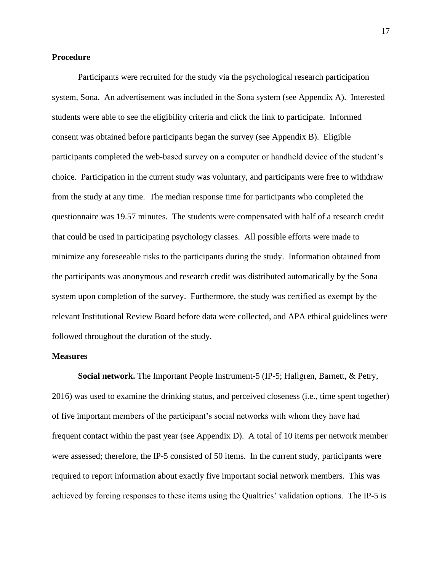#### **Procedure**

Participants were recruited for the study via the psychological research participation system, Sona. An advertisement was included in the Sona system (see Appendix A). Interested students were able to see the eligibility criteria and click the link to participate. Informed consent was obtained before participants began the survey (see Appendix B). Eligible participants completed the web-based survey on a computer or handheld device of the student's choice. Participation in the current study was voluntary, and participants were free to withdraw from the study at any time. The median response time for participants who completed the questionnaire was 19.57 minutes. The students were compensated with half of a research credit that could be used in participating psychology classes. All possible efforts were made to minimize any foreseeable risks to the participants during the study. Information obtained from the participants was anonymous and research credit was distributed automatically by the Sona system upon completion of the survey. Furthermore, the study was certified as exempt by the relevant Institutional Review Board before data were collected, and APA ethical guidelines were followed throughout the duration of the study.

#### **Measures**

**Social network.** The Important People Instrument-5 (IP-5; Hallgren, Barnett, & Petry, 2016) was used to examine the drinking status, and perceived closeness (i.e., time spent together) of five important members of the participant's social networks with whom they have had frequent contact within the past year (see Appendix D). A total of 10 items per network member were assessed; therefore, the IP-5 consisted of 50 items. In the current study, participants were required to report information about exactly five important social network members. This was achieved by forcing responses to these items using the Qualtrics' validation options. The IP-5 is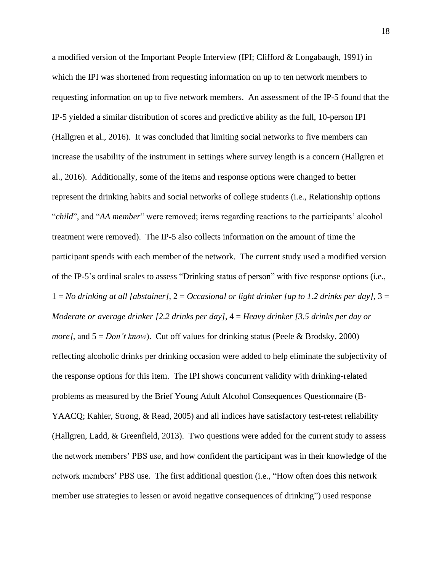a modified version of the Important People Interview (IPI; Clifford & Longabaugh, 1991) in which the IPI was shortened from requesting information on up to ten network members to requesting information on up to five network members. An assessment of the IP-5 found that the IP-5 yielded a similar distribution of scores and predictive ability as the full, 10-person IPI (Hallgren et al., 2016). It was concluded that limiting social networks to five members can increase the usability of the instrument in settings where survey length is a concern (Hallgren et al., 2016). Additionally, some of the items and response options were changed to better represent the drinking habits and social networks of college students (i.e., Relationship options "*child*", and "*AA member*" were removed; items regarding reactions to the participants' alcohol treatment were removed). The IP-5 also collects information on the amount of time the participant spends with each member of the network. The current study used a modified version of the IP-5's ordinal scales to assess "Drinking status of person" with five response options (i.e., 1 = *No drinking at all [abstainer]*, 2 = *Occasional or light drinker [up to 1.2 drinks per day]*, 3 = *Moderate or average drinker [2.2 drinks per day]*, 4 = *Heavy drinker [3.5 drinks per day or more]*, and 5 = *Don't know*). Cut off values for drinking status (Peele & Brodsky, 2000) reflecting alcoholic drinks per drinking occasion were added to help eliminate the subjectivity of the response options for this item. The IPI shows concurrent validity with drinking-related problems as measured by the Brief Young Adult Alcohol Consequences Questionnaire (B-YAACQ; Kahler, Strong, & Read, 2005) and all indices have satisfactory test-retest reliability (Hallgren, Ladd, & Greenfield, 2013). Two questions were added for the current study to assess the network members' PBS use, and how confident the participant was in their knowledge of the network members' PBS use. The first additional question (i.e., "How often does this network member use strategies to lessen or avoid negative consequences of drinking") used response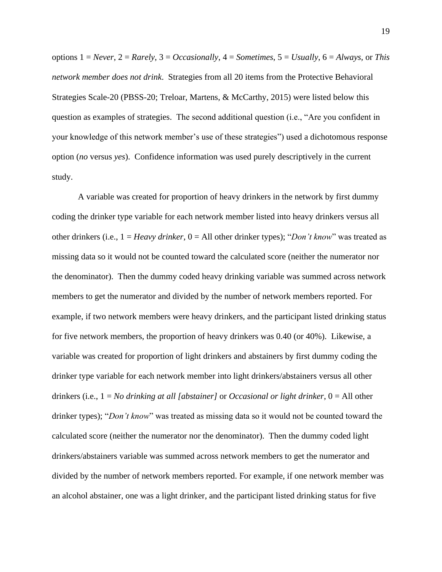options 1 = *Never*, 2 = *Rarely*, 3 = *Occasionally*, 4 = *Sometimes*, 5 = *Usually*, 6 = *Always,* or *This network member does not drink*. Strategies from all 20 items from the Protective Behavioral Strategies Scale-20 (PBSS-20; Treloar, Martens, & McCarthy, 2015) were listed below this question as examples of strategies. The second additional question (i.e., "Are you confident in your knowledge of this network member's use of these strategies") used a dichotomous response option (*no* versus *yes*). Confidence information was used purely descriptively in the current study.

A variable was created for proportion of heavy drinkers in the network by first dummy coding the drinker type variable for each network member listed into heavy drinkers versus all other drinkers (i.e., 1 = *Heavy drinker*, 0 = All other drinker types); "*Don't know*" was treated as missing data so it would not be counted toward the calculated score (neither the numerator nor the denominator). Then the dummy coded heavy drinking variable was summed across network members to get the numerator and divided by the number of network members reported. For example, if two network members were heavy drinkers, and the participant listed drinking status for five network members, the proportion of heavy drinkers was 0.40 (or 40%). Likewise, a variable was created for proportion of light drinkers and abstainers by first dummy coding the drinker type variable for each network member into light drinkers/abstainers versus all other drinkers (i.e., 1 = *No drinking at all [abstainer]* or *Occasional or light drinker*, 0 = All other drinker types); "*Don't know*" was treated as missing data so it would not be counted toward the calculated score (neither the numerator nor the denominator). Then the dummy coded light drinkers/abstainers variable was summed across network members to get the numerator and divided by the number of network members reported. For example, if one network member was an alcohol abstainer, one was a light drinker, and the participant listed drinking status for five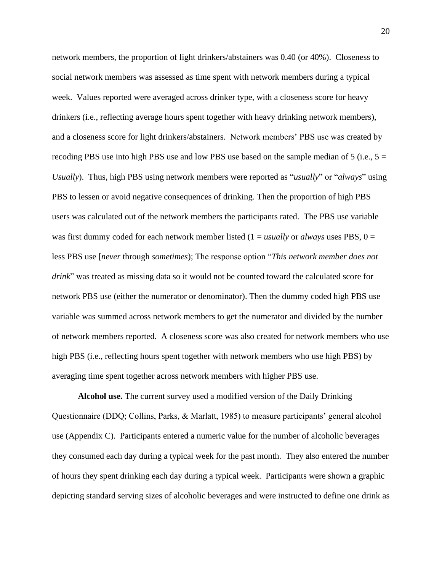network members, the proportion of light drinkers/abstainers was 0.40 (or 40%). Closeness to social network members was assessed as time spent with network members during a typical week. Values reported were averaged across drinker type, with a closeness score for heavy drinkers (i.e., reflecting average hours spent together with heavy drinking network members), and a closeness score for light drinkers/abstainers. Network members' PBS use was created by recoding PBS use into high PBS use and low PBS use based on the sample median of 5 (i.e.,  $5 =$ *Usually*). Thus, high PBS using network members were reported as "*usually*" or "*always*" using PBS to lessen or avoid negative consequences of drinking. Then the proportion of high PBS users was calculated out of the network members the participants rated. The PBS use variable was first dummy coded for each network member listed (1 = *usually* or *always* uses PBS, 0 = less PBS use [*never* through *sometimes*); The response option "*This network member does not drink*" was treated as missing data so it would not be counted toward the calculated score for network PBS use (either the numerator or denominator). Then the dummy coded high PBS use variable was summed across network members to get the numerator and divided by the number of network members reported. A closeness score was also created for network members who use high PBS (i.e., reflecting hours spent together with network members who use high PBS) by averaging time spent together across network members with higher PBS use.

**Alcohol use.** The current survey used a modified version of the Daily Drinking Questionnaire (DDQ; Collins, Parks, & Marlatt, 1985) to measure participants' general alcohol use (Appendix C). Participants entered a numeric value for the number of alcoholic beverages they consumed each day during a typical week for the past month. They also entered the number of hours they spent drinking each day during a typical week. Participants were shown a graphic depicting standard serving sizes of alcoholic beverages and were instructed to define one drink as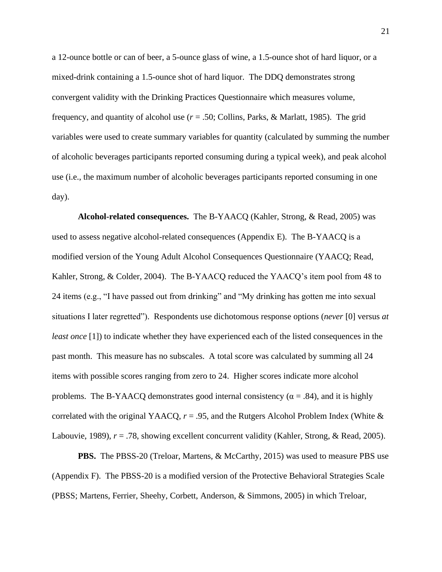a 12-ounce bottle or can of beer, a 5-ounce glass of wine, a 1.5-ounce shot of hard liquor, or a mixed-drink containing a 1.5-ounce shot of hard liquor. The DDQ demonstrates strong convergent validity with the Drinking Practices Questionnaire which measures volume, frequency, and quantity of alcohol use  $(r = .50;$  Collins, Parks, & Marlatt, 1985). The grid variables were used to create summary variables for quantity (calculated by summing the number of alcoholic beverages participants reported consuming during a typical week), and peak alcohol use (i.e., the maximum number of alcoholic beverages participants reported consuming in one day).

**Alcohol-related consequences.** The B-YAACQ (Kahler, Strong, & Read, 2005) was used to assess negative alcohol-related consequences (Appendix E). The B-YAACQ is a modified version of the Young Adult Alcohol Consequences Questionnaire (YAACQ; Read, Kahler, Strong, & Colder, 2004). The B-YAACQ reduced the YAACQ's item pool from 48 to 24 items (e.g., "I have passed out from drinking" and "My drinking has gotten me into sexual situations I later regretted"). Respondents use dichotomous response options (*never* [0] versus *at least once* [1]) to indicate whether they have experienced each of the listed consequences in the past month. This measure has no subscales. A total score was calculated by summing all 24 items with possible scores ranging from zero to 24. Higher scores indicate more alcohol problems. The B-YAACQ demonstrates good internal consistency ( $\alpha = .84$ ), and it is highly correlated with the original YAACQ,  $r = .95$ , and the Rutgers Alcohol Problem Index (White  $\&$ Labouvie, 1989),  $r = .78$ , showing excellent concurrent validity (Kahler, Strong, & Read, 2005).

**PBS.** The PBSS-20 (Treloar, Martens, & McCarthy, 2015) was used to measure PBS use (Appendix F). The PBSS-20 is a modified version of the Protective Behavioral Strategies Scale (PBSS; Martens, Ferrier, Sheehy, Corbett, Anderson, & Simmons, 2005) in which Treloar,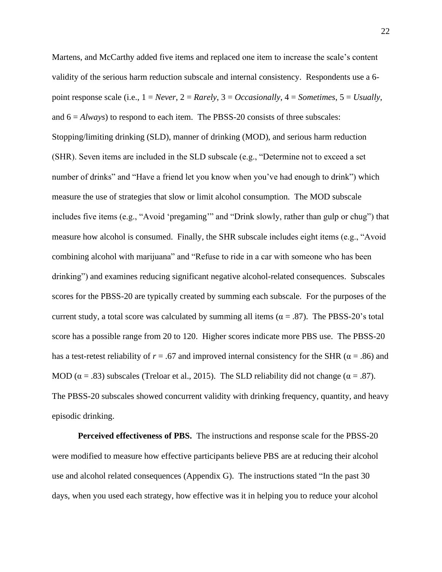Martens, and McCarthy added five items and replaced one item to increase the scale's content validity of the serious harm reduction subscale and internal consistency. Respondents use a 6 point response scale (i.e., 1 = *Never*, 2 = *Rarely*, 3 = *Occasionally*, 4 = *Sometimes*, 5 = *Usually*, and  $6 = Always$ ) to respond to each item. The PBSS-20 consists of three subscales: Stopping/limiting drinking (SLD), manner of drinking (MOD), and serious harm reduction (SHR). Seven items are included in the SLD subscale (e.g., "Determine not to exceed a set number of drinks" and "Have a friend let you know when you've had enough to drink") which measure the use of strategies that slow or limit alcohol consumption. The MOD subscale includes five items (e.g., "Avoid 'pregaming'" and "Drink slowly, rather than gulp or chug") that measure how alcohol is consumed. Finally, the SHR subscale includes eight items (e.g., "Avoid combining alcohol with marijuana" and "Refuse to ride in a car with someone who has been drinking") and examines reducing significant negative alcohol-related consequences. Subscales scores for the PBSS-20 are typically created by summing each subscale. For the purposes of the current study, a total score was calculated by summing all items ( $\alpha = .87$ ). The PBSS-20's total score has a possible range from 20 to 120. Higher scores indicate more PBS use. The PBSS-20 has a test-retest reliability of  $r = .67$  and improved internal consistency for the SHR ( $\alpha = .86$ ) and MOD ( $\alpha$  = .83) subscales (Treloar et al., 2015). The SLD reliability did not change ( $\alpha$  = .87). The PBSS-20 subscales showed concurrent validity with drinking frequency, quantity, and heavy episodic drinking.

**Perceived effectiveness of PBS.** The instructions and response scale for the PBSS-20 were modified to measure how effective participants believe PBS are at reducing their alcohol use and alcohol related consequences (Appendix G). The instructions stated "In the past 30 days, when you used each strategy, how effective was it in helping you to reduce your alcohol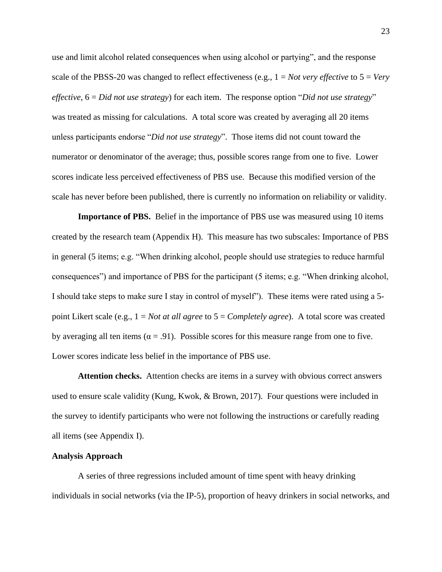use and limit alcohol related consequences when using alcohol or partying", and the response scale of the PBSS-20 was changed to reflect effectiveness (e.g., 1 = *Not very effective* to 5 = *Very effective*, 6 = *Did not use strategy*) for each item. The response option "*Did not use strategy*" was treated as missing for calculations. A total score was created by averaging all 20 items unless participants endorse "*Did not use strategy*". Those items did not count toward the numerator or denominator of the average; thus, possible scores range from one to five. Lower scores indicate less perceived effectiveness of PBS use. Because this modified version of the scale has never before been published, there is currently no information on reliability or validity.

**Importance of PBS.** Belief in the importance of PBS use was measured using 10 items created by the research team (Appendix H). This measure has two subscales: Importance of PBS in general (5 items; e.g. "When drinking alcohol, people should use strategies to reduce harmful consequences") and importance of PBS for the participant (5 items; e.g. "When drinking alcohol, I should take steps to make sure I stay in control of myself"). These items were rated using a 5 point Likert scale (e.g., 1 = *Not at all agree* to 5 = *Completely agree*). A total score was created by averaging all ten items ( $\alpha = .91$ ). Possible scores for this measure range from one to five. Lower scores indicate less belief in the importance of PBS use.

**Attention checks.** Attention checks are items in a survey with obvious correct answers used to ensure scale validity (Kung, Kwok, & Brown, 2017). Four questions were included in the survey to identify participants who were not following the instructions or carefully reading all items (see Appendix I).

#### **Analysis Approach**

A series of three regressions included amount of time spent with heavy drinking individuals in social networks (via the IP-5), proportion of heavy drinkers in social networks, and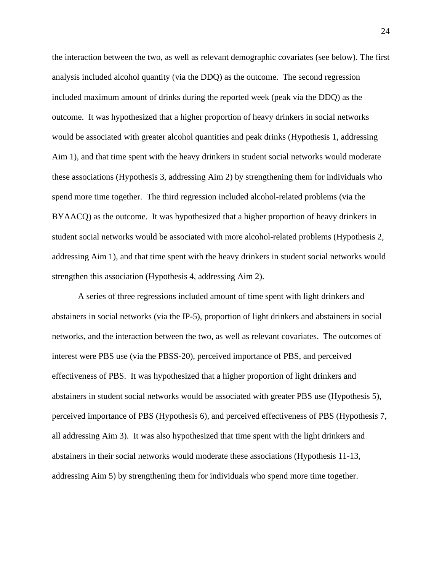the interaction between the two, as well as relevant demographic covariates (see below). The first analysis included alcohol quantity (via the DDQ) as the outcome. The second regression included maximum amount of drinks during the reported week (peak via the DDQ) as the outcome. It was hypothesized that a higher proportion of heavy drinkers in social networks would be associated with greater alcohol quantities and peak drinks (Hypothesis 1, addressing Aim 1), and that time spent with the heavy drinkers in student social networks would moderate these associations (Hypothesis 3, addressing Aim 2) by strengthening them for individuals who spend more time together. The third regression included alcohol-related problems (via the BYAACQ) as the outcome. It was hypothesized that a higher proportion of heavy drinkers in student social networks would be associated with more alcohol-related problems (Hypothesis 2, addressing Aim 1), and that time spent with the heavy drinkers in student social networks would strengthen this association (Hypothesis 4, addressing Aim 2).

A series of three regressions included amount of time spent with light drinkers and abstainers in social networks (via the IP-5), proportion of light drinkers and abstainers in social networks, and the interaction between the two, as well as relevant covariates. The outcomes of interest were PBS use (via the PBSS-20), perceived importance of PBS, and perceived effectiveness of PBS. It was hypothesized that a higher proportion of light drinkers and abstainers in student social networks would be associated with greater PBS use (Hypothesis 5), perceived importance of PBS (Hypothesis 6), and perceived effectiveness of PBS (Hypothesis 7, all addressing Aim 3). It was also hypothesized that time spent with the light drinkers and abstainers in their social networks would moderate these associations (Hypothesis 11-13, addressing Aim 5) by strengthening them for individuals who spend more time together.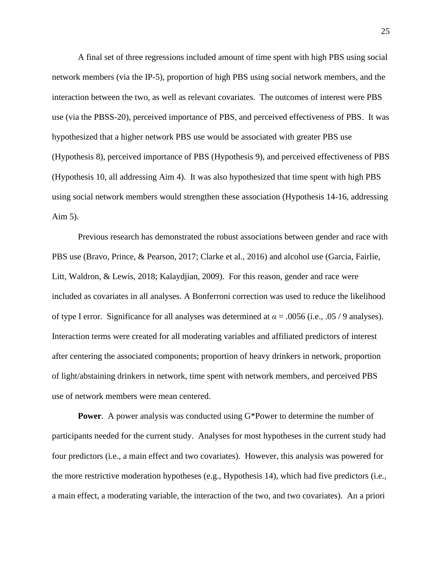A final set of three regressions included amount of time spent with high PBS using social network members (via the IP-5), proportion of high PBS using social network members, and the interaction between the two, as well as relevant covariates. The outcomes of interest were PBS use (via the PBSS-20), perceived importance of PBS, and perceived effectiveness of PBS. It was hypothesized that a higher network PBS use would be associated with greater PBS use (Hypothesis 8), perceived importance of PBS (Hypothesis 9), and perceived effectiveness of PBS (Hypothesis 10, all addressing Aim 4). It was also hypothesized that time spent with high PBS using social network members would strengthen these association (Hypothesis 14-16, addressing Aim 5).

Previous research has demonstrated the robust associations between gender and race with PBS use (Bravo, Prince, & Pearson, 2017; Clarke et al., 2016) and alcohol use (Garcia, Fairlie, Litt, Waldron, & Lewis, 2018; Kalaydjian, 2009). For this reason, gender and race were included as covariates in all analyses. A Bonferroni correction was used to reduce the likelihood of type I error. Significance for all analyses was determined at  $\alpha = .0056$  (i.e., .05 / 9 analyses). Interaction terms were created for all moderating variables and affiliated predictors of interest after centering the associated components; proportion of heavy drinkers in network, proportion of light/abstaining drinkers in network, time spent with network members, and perceived PBS use of network members were mean centered.

**Power**. A power analysis was conducted using G\*Power to determine the number of participants needed for the current study. Analyses for most hypotheses in the current study had four predictors (i.e., a main effect and two covariates). However, this analysis was powered for the more restrictive moderation hypotheses (e.g., Hypothesis 14), which had five predictors (i.e., a main effect, a moderating variable, the interaction of the two, and two covariates). An a priori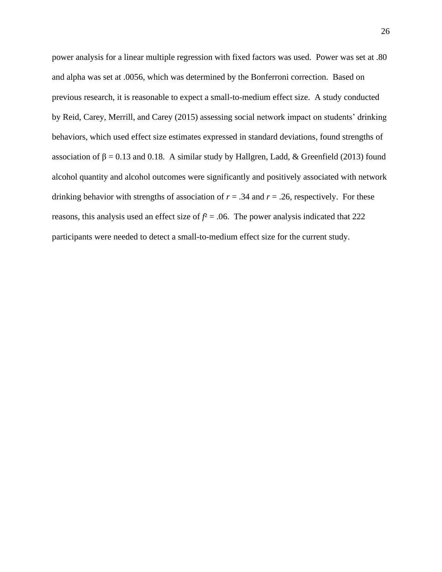power analysis for a linear multiple regression with fixed factors was used. Power was set at .80 and alpha was set at .0056, which was determined by the Bonferroni correction. Based on previous research, it is reasonable to expect a small-to-medium effect size. A study conducted by Reid, Carey, Merrill, and Carey (2015) assessing social network impact on students' drinking behaviors, which used effect size estimates expressed in standard deviations, found strengths of association of  $β = 0.13$  and 0.18. A similar study by Hallgren, Ladd, & Greenfield (2013) found alcohol quantity and alcohol outcomes were significantly and positively associated with network drinking behavior with strengths of association of  $r = .34$  and  $r = .26$ , respectively. For these reasons, this analysis used an effect size of  $f^2 = 0.06$ . The power analysis indicated that 222 participants were needed to detect a small-to-medium effect size for the current study.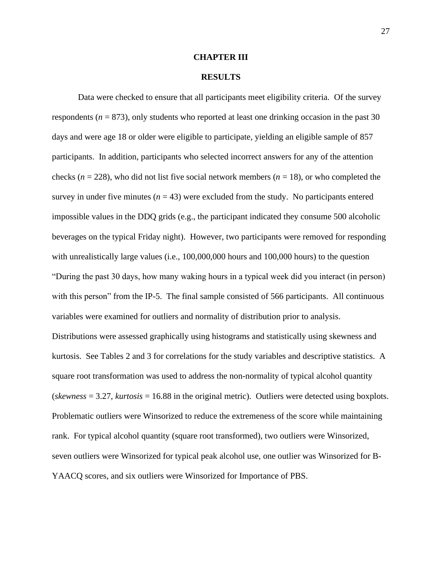### **CHAPTER III**

## **RESULTS**

Data were checked to ensure that all participants meet eligibility criteria. Of the survey respondents  $(n = 873)$ , only students who reported at least one drinking occasion in the past 30 days and were age 18 or older were eligible to participate, yielding an eligible sample of 857 participants. In addition, participants who selected incorrect answers for any of the attention checks ( $n = 228$ ), who did not list five social network members ( $n = 18$ ), or who completed the survey in under five minutes  $(n = 43)$  were excluded from the study. No participants entered impossible values in the DDQ grids (e.g., the participant indicated they consume 500 alcoholic beverages on the typical Friday night). However, two participants were removed for responding with unrealistically large values (i.e., 100,000,000 hours and 100,000 hours) to the question "During the past 30 days, how many waking hours in a typical week did you interact (in person) with this person" from the IP-5. The final sample consisted of 566 participants. All continuous variables were examined for outliers and normality of distribution prior to analysis. Distributions were assessed graphically using histograms and statistically using skewness and kurtosis. See Tables 2 and 3 for correlations for the study variables and descriptive statistics. A square root transformation was used to address the non-normality of typical alcohol quantity (*skewness* = 3.27, *kurtosis* = 16.88 in the original metric). Outliers were detected using boxplots. Problematic outliers were Winsorized to reduce the extremeness of the score while maintaining rank. For typical alcohol quantity (square root transformed), two outliers were Winsorized, seven outliers were Winsorized for typical peak alcohol use, one outlier was Winsorized for B-YAACQ scores, and six outliers were Winsorized for Importance of PBS.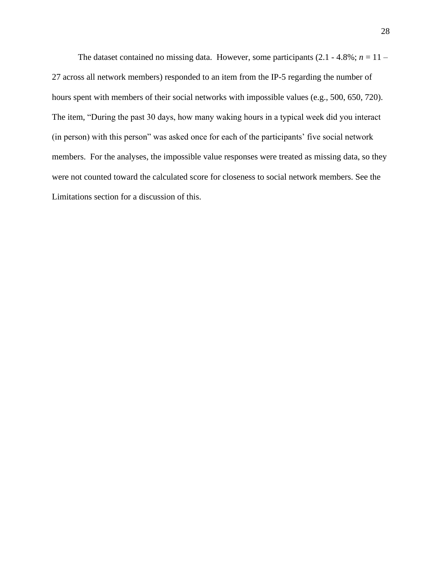The dataset contained no missing data. However, some participants  $(2.1 - 4.8\%; n = 11 -$ 27 across all network members) responded to an item from the IP-5 regarding the number of hours spent with members of their social networks with impossible values (e.g., 500, 650, 720). The item, "During the past 30 days, how many waking hours in a typical week did you interact (in person) with this person" was asked once for each of the participants' five social network members. For the analyses, the impossible value responses were treated as missing data, so they were not counted toward the calculated score for closeness to social network members. See the Limitations section for a discussion of this.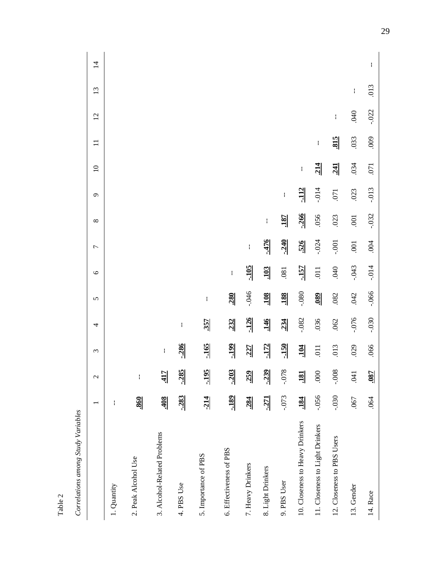| Table 2                            |                          |                        |                 |                       |            |                 |                          |                  |                       |                 |            |              |     |                |
|------------------------------------|--------------------------|------------------------|-----------------|-----------------------|------------|-----------------|--------------------------|------------------|-----------------------|-----------------|------------|--------------|-----|----------------|
| Correlations among Study Variables |                          |                        |                 |                       |            |                 |                          |                  |                       |                 |            |              |     |                |
|                                    | $\overline{\phantom{0}}$ | $\mathcal{L}$          | $\epsilon$      | 4                     | 5          | $\circ$         | $\overline{\phantom{a}}$ | $\infty$         | $\sigma$              | $\overline{10}$ | $\Xi$      | 12           | 13  | $\overline{1}$ |
| 1. Quantity                        | Ť                        |                        |                 |                       |            |                 |                          |                  |                       |                 |            |              |     |                |
| 2. Peak Alcohol Use                | .860                     | $\mathord{\mathsf{I}}$ |                 |                       |            |                 |                          |                  |                       |                 |            |              |     |                |
| 3. Alcohol-Related Problems        | <b>80F</b>               | $\frac{417}{11}$       | $\mathbf{I}$    |                       |            |                 |                          |                  |                       |                 |            |              |     |                |
| 4. PBS Use                         | $-283$                   | $-285$                 | $-286$          | $\mathop{!}\nolimits$ |            |                 |                          |                  |                       |                 |            |              |     |                |
| 5. Importance of PBS               | $-214$                   | $-195$                 | $-165$          | .357                  | ł          |                 |                          |                  |                       |                 |            |              |     |                |
| 6. Effectiveness of PBS            | $-189$                   | $-203$                 | $-199$          | .232                  | .280       | ł               |                          |                  |                       |                 |            |              |     |                |
| 7. Heavy Drinkers                  | .284                     | .259                   | .227            | $-126$                | $-046$     | $-105$          | $\mathbf i$              |                  |                       |                 |            |              |     |                |
| 8. Light Drinkers                  | $-271$                   | $-239$                 | $-172$          | <b>146</b>            | <b>SOL</b> | $\frac{103}{2}$ | $-476$                   | $\mathbf{I}$     |                       |                 |            |              |     |                |
| 9. PBS User                        | $-0.073$                 | $-0.078$               | $-150$          | .234                  | <u>188</u> | .081            | $-240$                   | <u>187</u>       | $\mathop{!}\nolimits$ |                 |            |              |     |                |
| 10. Closeness to Heavy Drinkers    | .184                     | <b>181</b>             | $\frac{104}{1}$ | $-082$                | $-080$     | $-157$          | 526                      | $-266$           | $-112$                | ł               |            |              |     |                |
| 11. Closeness to Light Drinkers    | $-0.056$                 | .000                   | .011            | 036                   | .089       | $\overline{0}$  | $-0.024$                 | .056             | $-0.014$              | 214             | ł          |              |     |                |
| 12. Closeness to PBS Users         | $0.030 -$                | $-0.008$               | .013            | .062                  | .082       | 040             | $-.001$                  | .023             | .071                  | $\frac{241}{2}$ | <b>815</b> | $\mathbf{I}$ |     |                |
| 13. Gender                         | .067                     | 140                    | 029             | $-076$                | .042       | $-0.043$        | $\overline{001}$         | $\overline{001}$ | .023                  | .034            | .033       | 040          | ł   |                |
| 14. Race                           | .064                     | <u>780</u>             | .066            | $-0.030$              | $-066$     | $-0.014$        | .004                     | $-0.032$         | $-0.013$              | .071            | 000        | $-022$       | 013 | ŧ              |
|                                    |                          |                        |                 |                       |            |                 |                          |                  |                       |                 |            |              |     |                |

29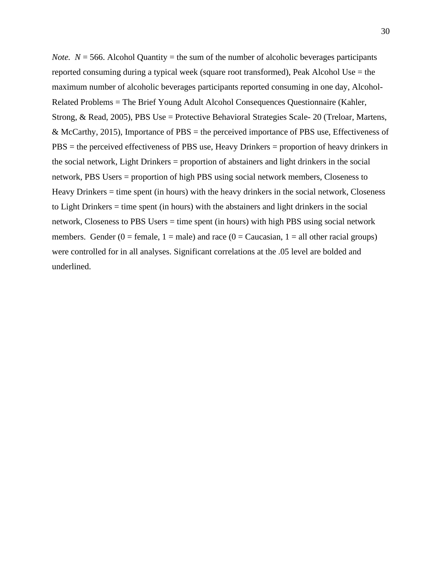*Note.*  $N = 566$ . Alcohol Quantity = the sum of the number of alcoholic beverages participants reported consuming during a typical week (square root transformed), Peak Alcohol Use = the maximum number of alcoholic beverages participants reported consuming in one day, Alcohol-Related Problems = The Brief Young Adult Alcohol Consequences Questionnaire (Kahler, Strong, & Read, 2005), PBS Use = Protective Behavioral Strategies Scale- 20 (Treloar, Martens, & McCarthy, 2015), Importance of PBS = the perceived importance of PBS use, Effectiveness of PBS = the perceived effectiveness of PBS use, Heavy Drinkers = proportion of heavy drinkers in the social network, Light Drinkers = proportion of abstainers and light drinkers in the social network, PBS Users = proportion of high PBS using social network members, Closeness to Heavy Drinkers = time spent (in hours) with the heavy drinkers in the social network, Closeness to Light Drinkers = time spent (in hours) with the abstainers and light drinkers in the social network, Closeness to PBS Users = time spent (in hours) with high PBS using social network members. Gender (0 = female, 1 = male) and race (0 = Caucasian, 1 = all other racial groups) were controlled for in all analyses. Significant correlations at the .05 level are bolded and underlined.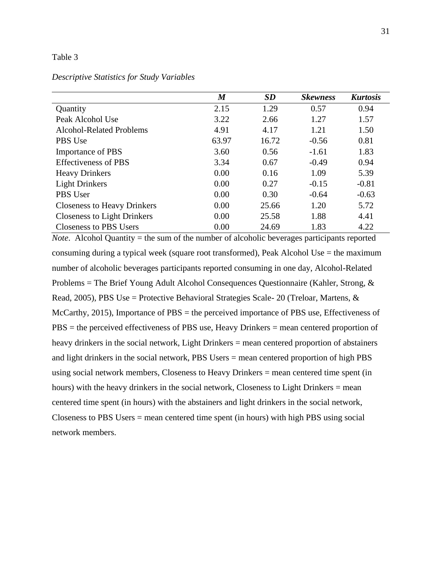## Table 3

## *Descriptive Statistics for Study Variables*

|                                    | $\boldsymbol{M}$ | SD    | <b>Skewness</b> | <b>Kurtosis</b> |
|------------------------------------|------------------|-------|-----------------|-----------------|
| Quantity                           | 2.15             | 1.29  | 0.57            | 0.94            |
| Peak Alcohol Use                   | 3.22             | 2.66  | 1.27            | 1.57            |
| <b>Alcohol-Related Problems</b>    | 4.91             | 4.17  | 1.21            | 1.50            |
| PBS Use                            | 63.97            | 16.72 | $-0.56$         | 0.81            |
| <b>Importance of PBS</b>           | 3.60             | 0.56  | $-1.61$         | 1.83            |
| <b>Effectiveness of PBS</b>        | 3.34             | 0.67  | $-0.49$         | 0.94            |
| <b>Heavy Drinkers</b>              | 0.00             | 0.16  | 1.09            | 5.39            |
| <b>Light Drinkers</b>              | 0.00             | 0.27  | $-0.15$         | $-0.81$         |
| <b>PBS</b> User                    | 0.00             | 0.30  | $-0.64$         | $-0.63$         |
| <b>Closeness to Heavy Drinkers</b> | 0.00             | 25.66 | 1.20            | 5.72            |
| <b>Closeness to Light Drinkers</b> | 0.00             | 25.58 | 1.88            | 4.41            |
| <b>Closeness to PBS Users</b>      | 0.00             | 24.69 | 1.83            | 4.22            |

*Note*. Alcohol Quantity = the sum of the number of alcoholic beverages participants reported consuming during a typical week (square root transformed), Peak Alcohol Use = the maximum number of alcoholic beverages participants reported consuming in one day, Alcohol-Related Problems = The Brief Young Adult Alcohol Consequences Questionnaire (Kahler, Strong, & Read, 2005), PBS Use = Protective Behavioral Strategies Scale- 20 (Treloar, Martens, & McCarthy, 2015), Importance of PBS = the perceived importance of PBS use, Effectiveness of PBS = the perceived effectiveness of PBS use, Heavy Drinkers = mean centered proportion of heavy drinkers in the social network, Light Drinkers = mean centered proportion of abstainers and light drinkers in the social network, PBS Users = mean centered proportion of high PBS using social network members, Closeness to Heavy Drinkers = mean centered time spent (in hours) with the heavy drinkers in the social network, Closeness to Light Drinkers = mean centered time spent (in hours) with the abstainers and light drinkers in the social network, Closeness to PBS Users = mean centered time spent (in hours) with high PBS using social network members.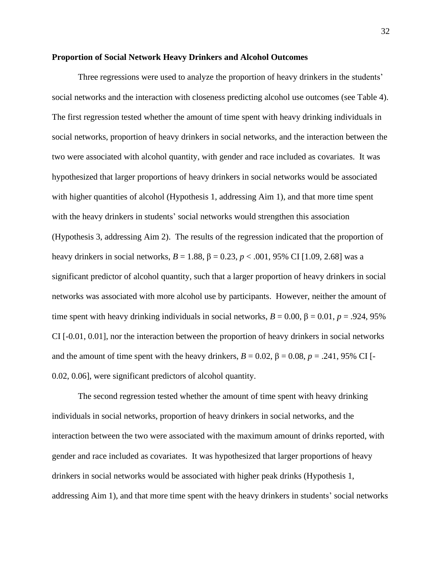# **Proportion of Social Network Heavy Drinkers and Alcohol Outcomes**

Three regressions were used to analyze the proportion of heavy drinkers in the students' social networks and the interaction with closeness predicting alcohol use outcomes (see Table 4). The first regression tested whether the amount of time spent with heavy drinking individuals in social networks, proportion of heavy drinkers in social networks, and the interaction between the two were associated with alcohol quantity, with gender and race included as covariates. It was hypothesized that larger proportions of heavy drinkers in social networks would be associated with higher quantities of alcohol (Hypothesis 1, addressing Aim 1), and that more time spent with the heavy drinkers in students' social networks would strengthen this association (Hypothesis 3, addressing Aim 2). The results of the regression indicated that the proportion of heavy drinkers in social networks, *B* = 1.88, β = 0.23, *p* < .001, 95% CI [1.09, 2.68] was a significant predictor of alcohol quantity, such that a larger proportion of heavy drinkers in social networks was associated with more alcohol use by participants. However, neither the amount of time spent with heavy drinking individuals in social networks,  $B = 0.00$ ,  $\beta = 0.01$ ,  $p = .924$ , 95% CI [-0.01, 0.01], nor the interaction between the proportion of heavy drinkers in social networks and the amount of time spent with the heavy drinkers,  $B = 0.02$ ,  $\beta = 0.08$ ,  $p = .241$ , 95% CI [-0.02, 0.06], were significant predictors of alcohol quantity.

The second regression tested whether the amount of time spent with heavy drinking individuals in social networks, proportion of heavy drinkers in social networks, and the interaction between the two were associated with the maximum amount of drinks reported, with gender and race included as covariates. It was hypothesized that larger proportions of heavy drinkers in social networks would be associated with higher peak drinks (Hypothesis 1, addressing Aim 1), and that more time spent with the heavy drinkers in students' social networks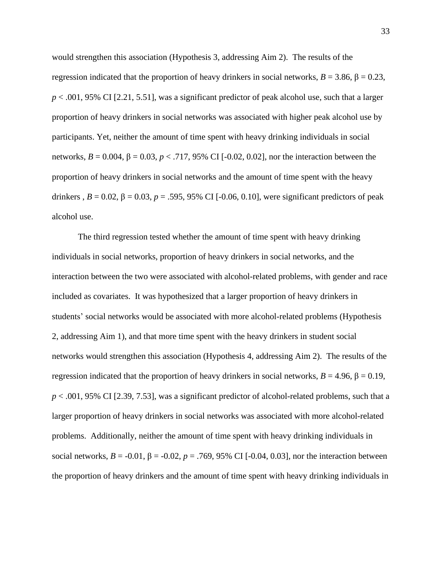would strengthen this association (Hypothesis 3, addressing Aim 2). The results of the regression indicated that the proportion of heavy drinkers in social networks, *B* = 3.86, β = 0.23,  $p < .001, 95\%$  CI [2.21, 5.51], was a significant predictor of peak alcohol use, such that a larger proportion of heavy drinkers in social networks was associated with higher peak alcohol use by participants. Yet, neither the amount of time spent with heavy drinking individuals in social networks, *B* = 0.004, β = 0.03, *p* < .717, 95% CI [-0.02, 0.02], nor the interaction between the proportion of heavy drinkers in social networks and the amount of time spent with the heavy drinkers,  $B = 0.02$ ,  $β = 0.03$ ,  $p = .595$ , 95% CI [-0.06, 0.10], were significant predictors of peak alcohol use.

The third regression tested whether the amount of time spent with heavy drinking individuals in social networks, proportion of heavy drinkers in social networks, and the interaction between the two were associated with alcohol-related problems, with gender and race included as covariates. It was hypothesized that a larger proportion of heavy drinkers in students' social networks would be associated with more alcohol-related problems (Hypothesis 2, addressing Aim 1), and that more time spent with the heavy drinkers in student social networks would strengthen this association (Hypothesis 4, addressing Aim 2). The results of the regression indicated that the proportion of heavy drinkers in social networks, *B* = 4.96, β = 0.19, *p* < .001, 95% CI [2.39, 7.53], was a significant predictor of alcohol-related problems, such that a larger proportion of heavy drinkers in social networks was associated with more alcohol-related problems. Additionally, neither the amount of time spent with heavy drinking individuals in social networks,  $B = -0.01$ ,  $β = -0.02$ ,  $p = .769$ , 95% CI [-0.04, 0.03], nor the interaction between the proportion of heavy drinkers and the amount of time spent with heavy drinking individuals in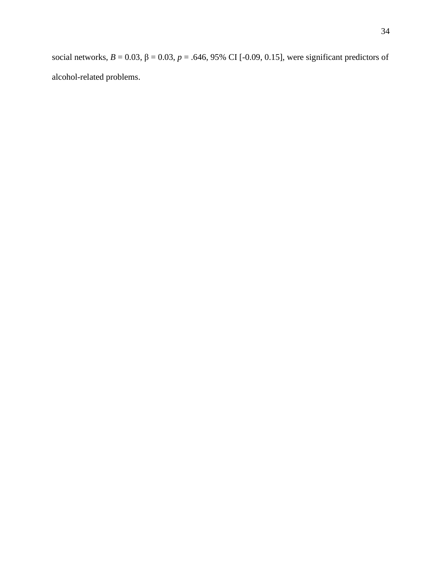social networks,  $B = 0.03$ ,  $β = 0.03$ ,  $p = .646$ , 95% CI [-0.09, 0.15], were significant predictors of alcohol-related problems.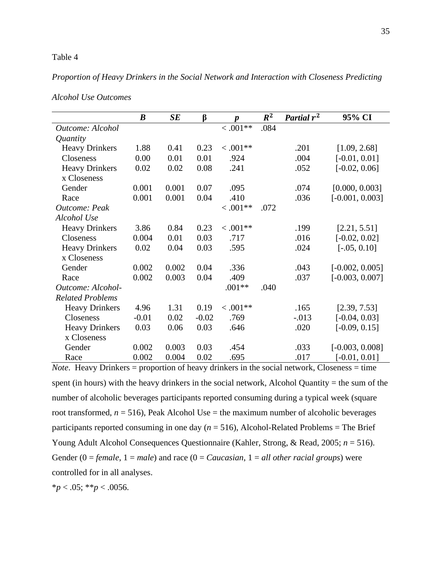### Table 4

# *Proportion of Heavy Drinkers in the Social Network and Interaction with Closeness Predicting*

|                         | $\boldsymbol{B}$ | SE    | $\beta$ | $\boldsymbol{p}$ | $R^2$ | Partial $r^2$ | 95% CI            |
|-------------------------|------------------|-------|---------|------------------|-------|---------------|-------------------|
| Outcome: Alcohol        |                  |       |         | $0.001**$        | .084  |               |                   |
| Quantity                |                  |       |         |                  |       |               |                   |
| <b>Heavy Drinkers</b>   | 1.88             | 0.41  | 0.23    | $0.001**$        |       | .201          | [1.09, 2.68]      |
| Closeness               | 0.00             | 0.01  | 0.01    | .924             |       | .004          | $[-0.01, 0.01]$   |
| <b>Heavy Drinkers</b>   | 0.02             | 0.02  | 0.08    | .241             |       | .052          | $[-0.02, 0.06]$   |
| x Closeness             |                  |       |         |                  |       |               |                   |
| Gender                  | 0.001            | 0.001 | 0.07    | .095             |       | .074          | [0.000, 0.003]    |
| Race                    | 0.001            | 0.001 | 0.04    | .410             |       | .036          | $[-0.001, 0.003]$ |
| Outcome: Peak           |                  |       |         | $0.001**$        | .072  |               |                   |
| Alcohol Use             |                  |       |         |                  |       |               |                   |
| <b>Heavy Drinkers</b>   | 3.86             | 0.84  | 0.23    | $0.001**$        |       | .199          | [2.21, 5.51]      |
| Closeness               | 0.004            | 0.01  | 0.03    | .717             |       | .016          | $[-0.02, 0.02]$   |
| <b>Heavy Drinkers</b>   | 0.02             | 0.04  | 0.03    | .595             |       | .024          | $[-.05, 0.10]$    |
| x Closeness             |                  |       |         |                  |       |               |                   |
| Gender                  | 0.002            | 0.002 | 0.04    | .336             |       | .043          | $[-0.002, 0.005]$ |
| Race                    | 0.002            | 0.003 | 0.04    | .409             |       | .037          | $[-0.003, 0.007]$ |
| Outcome: Alcohol-       |                  |       |         | $.001**$         | .040  |               |                   |
| <b>Related Problems</b> |                  |       |         |                  |       |               |                   |
| <b>Heavy Drinkers</b>   | 4.96             | 1.31  | 0.19    | $0.001**$        |       | .165          | [2.39, 7.53]      |
| Closeness               | $-0.01$          | 0.02  | $-0.02$ | .769             |       | $-.013$       | $[-0.04, 0.03]$   |
| <b>Heavy Drinkers</b>   | 0.03             | 0.06  | 0.03    | .646             |       | .020          | $[-0.09, 0.15]$   |
| x Closeness             |                  |       |         |                  |       |               |                   |
| Gender                  | 0.002            | 0.003 | 0.03    | .454             |       | .033          | $[-0.003, 0.008]$ |
| Race                    | 0.002            | 0.004 | 0.02    | .695             |       | .017          | $[-0.01, 0.01]$   |

*Alcohol Use Outcomes*

*Note*. Heavy Drinkers = proportion of heavy drinkers in the social network, Closeness = time spent (in hours) with the heavy drinkers in the social network, Alcohol Quantity  $=$  the sum of the number of alcoholic beverages participants reported consuming during a typical week (square root transformed,  $n = 516$ ), Peak Alcohol Use = the maximum number of alcoholic beverages participants reported consuming in one day (*n* = 516), Alcohol-Related Problems = The Brief Young Adult Alcohol Consequences Questionnaire (Kahler, Strong, & Read, 2005; *n* = 516). Gender (0 = *female*, 1 = *male*) and race (0 = *Caucasian*, 1 = *all other racial groups*) were controlled for in all analyses.

 $**p* < .05; ***p* < .0056.$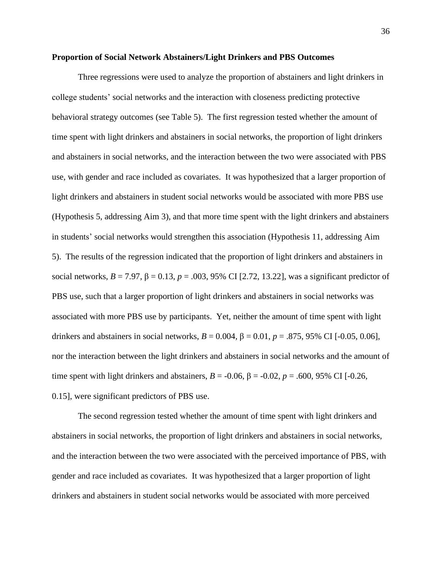#### **Proportion of Social Network Abstainers/Light Drinkers and PBS Outcomes**

Three regressions were used to analyze the proportion of abstainers and light drinkers in college students' social networks and the interaction with closeness predicting protective behavioral strategy outcomes (see Table 5). The first regression tested whether the amount of time spent with light drinkers and abstainers in social networks, the proportion of light drinkers and abstainers in social networks, and the interaction between the two were associated with PBS use, with gender and race included as covariates. It was hypothesized that a larger proportion of light drinkers and abstainers in student social networks would be associated with more PBS use (Hypothesis 5, addressing Aim 3), and that more time spent with the light drinkers and abstainers in students' social networks would strengthen this association (Hypothesis 11, addressing Aim 5). The results of the regression indicated that the proportion of light drinkers and abstainers in social networks,  $B = 7.97$ ,  $\beta = 0.13$ ,  $p = .003$ , 95% CI [2.72, 13.22], was a significant predictor of PBS use, such that a larger proportion of light drinkers and abstainers in social networks was associated with more PBS use by participants. Yet, neither the amount of time spent with light drinkers and abstainers in social networks,  $B = 0.004$ ,  $β = 0.01$ ,  $p = .875$ , 95% CI [-0.05, 0.06], nor the interaction between the light drinkers and abstainers in social networks and the amount of time spent with light drinkers and abstainers,  $B = -0.06$ ,  $\beta = -0.02$ ,  $p = .600$ , 95% CI [-0.26, 0.15], were significant predictors of PBS use.

The second regression tested whether the amount of time spent with light drinkers and abstainers in social networks, the proportion of light drinkers and abstainers in social networks, and the interaction between the two were associated with the perceived importance of PBS, with gender and race included as covariates. It was hypothesized that a larger proportion of light drinkers and abstainers in student social networks would be associated with more perceived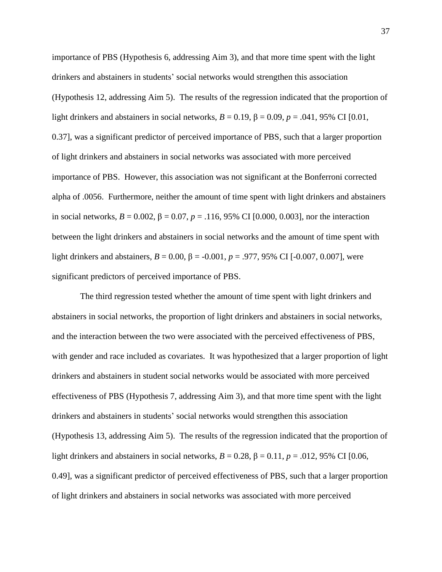importance of PBS (Hypothesis 6, addressing Aim 3), and that more time spent with the light drinkers and abstainers in students' social networks would strengthen this association (Hypothesis 12, addressing Aim 5). The results of the regression indicated that the proportion of light drinkers and abstainers in social networks,  $B = 0.19$ ,  $\beta = 0.09$ ,  $p = .041$ , 95% CI [0.01, 0.37], was a significant predictor of perceived importance of PBS, such that a larger proportion of light drinkers and abstainers in social networks was associated with more perceived importance of PBS. However, this association was not significant at the Bonferroni corrected alpha of .0056. Furthermore, neither the amount of time spent with light drinkers and abstainers in social networks,  $B = 0.002$ ,  $\beta = 0.07$ ,  $p = .116$ , 95% CI [0.000, 0.003], nor the interaction between the light drinkers and abstainers in social networks and the amount of time spent with light drinkers and abstainers,  $B = 0.00$ ,  $\beta = -0.001$ ,  $p = .977$ , 95% CI [-0.007, 0.007], were significant predictors of perceived importance of PBS.

The third regression tested whether the amount of time spent with light drinkers and abstainers in social networks, the proportion of light drinkers and abstainers in social networks, and the interaction between the two were associated with the perceived effectiveness of PBS, with gender and race included as covariates. It was hypothesized that a larger proportion of light drinkers and abstainers in student social networks would be associated with more perceived effectiveness of PBS (Hypothesis 7, addressing Aim 3), and that more time spent with the light drinkers and abstainers in students' social networks would strengthen this association (Hypothesis 13, addressing Aim 5). The results of the regression indicated that the proportion of light drinkers and abstainers in social networks,  $B = 0.28$ ,  $\beta = 0.11$ ,  $p = .012$ , 95% CI [0.06, 0.49], was a significant predictor of perceived effectiveness of PBS, such that a larger proportion of light drinkers and abstainers in social networks was associated with more perceived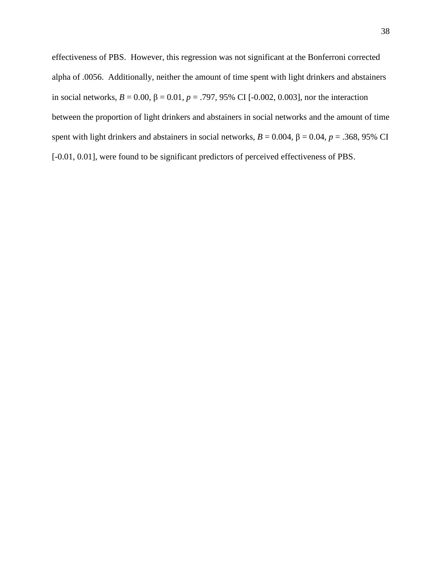effectiveness of PBS. However, this regression was not significant at the Bonferroni corrected alpha of .0056. Additionally, neither the amount of time spent with light drinkers and abstainers in social networks,  $B = 0.00$ ,  $β = 0.01$ ,  $p = .797$ , 95% CI [-0.002, 0.003], nor the interaction between the proportion of light drinkers and abstainers in social networks and the amount of time spent with light drinkers and abstainers in social networks,  $B = 0.004$ ,  $\beta = 0.04$ ,  $p = .368$ , 95% CI [-0.01, 0.01], were found to be significant predictors of perceived effectiveness of PBS.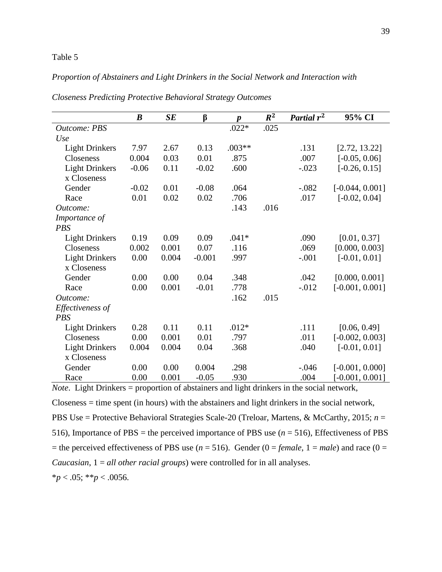# Table 5

# *Proportion of Abstainers and Light Drinkers in the Social Network and Interaction with*

|                       | $\boldsymbol{B}$ | SE    | β        | $\boldsymbol{p}$ | $R^2$ | Partial r <sup>2</sup> | 95% CI            |
|-----------------------|------------------|-------|----------|------------------|-------|------------------------|-------------------|
| <b>Outcome: PBS</b>   |                  |       |          | $.022*$          | .025  |                        |                   |
| Use                   |                  |       |          |                  |       |                        |                   |
| <b>Light Drinkers</b> | 7.97             | 2.67  | 0.13     | $.003**$         |       | .131                   | [2.72, 13.22]     |
| Closeness             | 0.004            | 0.03  | 0.01     | .875             |       | .007                   | $[-0.05, 0.06]$   |
| <b>Light Drinkers</b> | $-0.06$          | 0.11  | $-0.02$  | .600             |       | $-.023$                | $[-0.26, 0.15]$   |
| x Closeness           |                  |       |          |                  |       |                        |                   |
| Gender                | $-0.02$          | 0.01  | $-0.08$  | .064             |       | $-.082$                | $[-0.044, 0.001]$ |
| Race                  | 0.01             | 0.02  | 0.02     | .706             |       | .017                   | $[-0.02, 0.04]$   |
| Outcome:              |                  |       |          | .143             | .016  |                        |                   |
| Importance of         |                  |       |          |                  |       |                        |                   |
| <b>PBS</b>            |                  |       |          |                  |       |                        |                   |
| <b>Light Drinkers</b> | 0.19             | 0.09  | 0.09     | $.041*$          |       | .090                   | [0.01, 0.37]      |
| Closeness             | 0.002            | 0.001 | 0.07     | .116             |       | .069                   | [0.000, 0.003]    |
| <b>Light Drinkers</b> | 0.00             | 0.004 | $-0.001$ | .997             |       | $-.001$                | $[-0.01, 0.01]$   |
| x Closeness           |                  |       |          |                  |       |                        |                   |
| Gender                | 0.00             | 0.00  | 0.04     | .348             |       | .042                   | [0.000, 0.001]    |
| Race                  | 0.00             | 0.001 | $-0.01$  | .778             |       | $-0.012$               | $[-0.001, 0.001]$ |
| Outcome:              |                  |       |          | .162             | .015  |                        |                   |
| Effectiveness of      |                  |       |          |                  |       |                        |                   |
| <b>PBS</b>            |                  |       |          |                  |       |                        |                   |
| <b>Light Drinkers</b> | 0.28             | 0.11  | 0.11     | $.012*$          |       | .111                   | [0.06, 0.49]      |
| Closeness             | 0.00             | 0.001 | 0.01     | .797             |       | .011                   | $[-0.002, 0.003]$ |
| <b>Light Drinkers</b> | 0.004            | 0.004 | 0.04     | .368             |       | .040                   | $[-0.01, 0.01]$   |
| x Closeness           |                  |       |          |                  |       |                        |                   |
| Gender                | 0.00             | 0.00  | 0.004    | .298             |       | $-.046$                | $[-0.001, 0.000]$ |
| Race                  | 0.00             | 0.001 | $-0.05$  | .930             |       | .004                   | $[-0.001, 0.001]$ |

*Closeness Predicting Protective Behavioral Strategy Outcomes*

*Note*. Light Drinkers = proportion of abstainers and light drinkers in the social network, Closeness = time spent (in hours) with the abstainers and light drinkers in the social network, PBS Use = Protective Behavioral Strategies Scale-20 (Treloar, Martens, & McCarthy, 2015; *n* = 516), Importance of PBS = the perceived importance of PBS use (*n* = 516), Effectiveness of PBS = the perceived effectiveness of PBS use ( $n = 516$ ). Gender ( $0 = female$ ,  $1 = male$ ) and race ( $0 =$ *Caucasian*, 1 = *all other racial groups*) were controlled for in all analyses.

 $**p* < .05; ***p* < .0056.$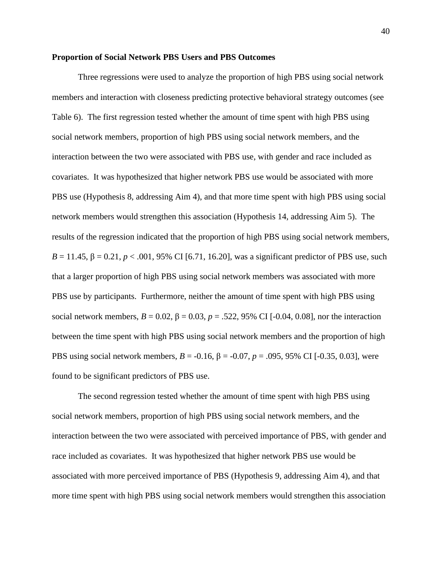## **Proportion of Social Network PBS Users and PBS Outcomes**

Three regressions were used to analyze the proportion of high PBS using social network members and interaction with closeness predicting protective behavioral strategy outcomes (see Table 6). The first regression tested whether the amount of time spent with high PBS using social network members, proportion of high PBS using social network members, and the interaction between the two were associated with PBS use, with gender and race included as covariates. It was hypothesized that higher network PBS use would be associated with more PBS use (Hypothesis 8, addressing Aim 4), and that more time spent with high PBS using social network members would strengthen this association (Hypothesis 14, addressing Aim 5). The results of the regression indicated that the proportion of high PBS using social network members, *B* = 11.45, β = 0.21, *p* < .001, 95% CI [6.71, 16.20], was a significant predictor of PBS use, such that a larger proportion of high PBS using social network members was associated with more PBS use by participants. Furthermore, neither the amount of time spent with high PBS using social network members,  $B = 0.02$ ,  $β = 0.03$ ,  $p = .522$ , 95% CI [-0.04, 0.08], nor the interaction between the time spent with high PBS using social network members and the proportion of high PBS using social network members,  $B = -0.16$ ,  $β = -0.07$ ,  $p = .095$ , 95% CI [-0.35, 0.03], were found to be significant predictors of PBS use.

The second regression tested whether the amount of time spent with high PBS using social network members, proportion of high PBS using social network members, and the interaction between the two were associated with perceived importance of PBS, with gender and race included as covariates. It was hypothesized that higher network PBS use would be associated with more perceived importance of PBS (Hypothesis 9, addressing Aim 4), and that more time spent with high PBS using social network members would strengthen this association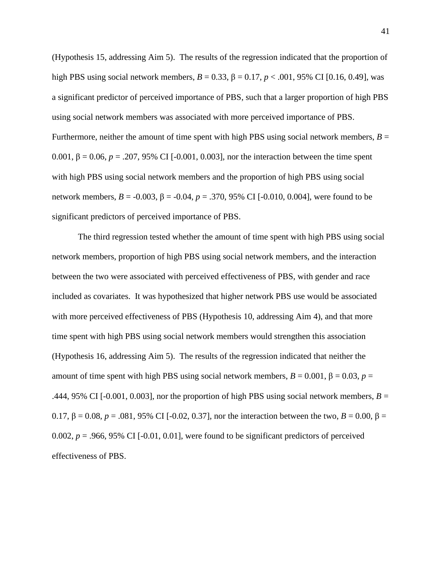(Hypothesis 15, addressing Aim 5). The results of the regression indicated that the proportion of high PBS using social network members,  $B = 0.33$ ,  $β = 0.17$ ,  $p < .001$ , 95% CI [0.16, 0.49], was a significant predictor of perceived importance of PBS, such that a larger proportion of high PBS using social network members was associated with more perceived importance of PBS. Furthermore, neither the amount of time spent with high PBS using social network members,  $B =$ 0.001, β = 0.06, *p* = .207, 95% CI [-0.001, 0.003], nor the interaction between the time spent with high PBS using social network members and the proportion of high PBS using social network members, *B* = -0.003, β = -0.04, *p* = .370, 95% CI [-0.010, 0.004], were found to be significant predictors of perceived importance of PBS.

The third regression tested whether the amount of time spent with high PBS using social network members, proportion of high PBS using social network members, and the interaction between the two were associated with perceived effectiveness of PBS, with gender and race included as covariates. It was hypothesized that higher network PBS use would be associated with more perceived effectiveness of PBS (Hypothesis 10, addressing Aim 4), and that more time spent with high PBS using social network members would strengthen this association (Hypothesis 16, addressing Aim 5). The results of the regression indicated that neither the amount of time spent with high PBS using social network members,  $B = 0.001$ ,  $\beta = 0.03$ ,  $p =$ .444, 95% CI [-0.001, 0.003], nor the proportion of high PBS using social network members, *B* = 0.17, β = 0.08, *p* = .081, 95% CI [-0.02, 0.37], nor the interaction between the two, *B* = 0.00, β = 0.002,  $p = 0.966$ , 95% CI [-0.01, 0.01], were found to be significant predictors of perceived effectiveness of PBS.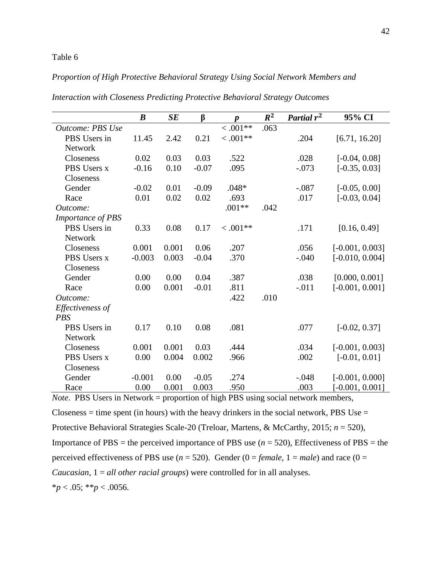## Table 6

# *Proportion of High Protective Behavioral Strategy Using Social Network Members and*

|                          | $\boldsymbol{B}$ | SE    | $\beta$ | $\boldsymbol{p}$ | $R^2$ | Partial $r^2$ | 95% CI            |
|--------------------------|------------------|-------|---------|------------------|-------|---------------|-------------------|
| <b>Outcome: PBS Use</b>  |                  |       |         | $0.001**$        | .063  |               |                   |
| PBS Users in             | 11.45            | 2.42  | 0.21    | $0.001**$        |       | .204          | [6.71, 16.20]     |
| <b>Network</b>           |                  |       |         |                  |       |               |                   |
| Closeness                | 0.02             | 0.03  | 0.03    | .522             |       | .028          | $[-0.04, 0.08]$   |
| PBS Users x              | $-0.16$          | 0.10  | $-0.07$ | .095             |       | $-.073$       | $[-0.35, 0.03]$   |
| Closeness                |                  |       |         |                  |       |               |                   |
| Gender                   | $-0.02$          | 0.01  | $-0.09$ | $.048*$          |       | $-.087$       | $[-0.05, 0.00]$   |
| Race                     | 0.01             | 0.02  | 0.02    | .693             |       | .017          | $[-0.03, 0.04]$   |
| Outcome:                 |                  |       |         | $.001**$         | .042  |               |                   |
| <b>Importance of PBS</b> |                  |       |         |                  |       |               |                   |
| PBS Users in             | 0.33             | 0.08  | 0.17    | $< .001**$       |       | .171          | [0.16, 0.49]      |
| Network                  |                  |       |         |                  |       |               |                   |
| Closeness                | 0.001            | 0.001 | 0.06    | .207             |       | .056          | $[-0.001, 0.003]$ |
| PBS Users x              | $-0.003$         | 0.003 | $-0.04$ | .370             |       | $-.040$       | $[-0.010, 0.004]$ |
| Closeness                |                  |       |         |                  |       |               |                   |
| Gender                   | 0.00             | 0.00  | 0.04    | .387             |       | .038          | [0.000, 0.001]    |
| Race                     | 0.00             | 0.001 | $-0.01$ | .811             |       | $-.011$       | $[-0.001, 0.001]$ |
| Outcome:                 |                  |       |         | .422             | .010  |               |                   |
| Effectiveness of         |                  |       |         |                  |       |               |                   |
| <b>PBS</b>               |                  |       |         |                  |       |               |                   |
| PBS Users in             | 0.17             | 0.10  | 0.08    | .081             |       | .077          | $[-0.02, 0.37]$   |
| <b>Network</b>           |                  |       |         |                  |       |               |                   |
| Closeness                | 0.001            | 0.001 | 0.03    | .444             |       | .034          | $[-0.001, 0.003]$ |
| PBS Users x              | 0.00             | 0.004 | 0.002   | .966             |       | .002          | $[-0.01, 0.01]$   |
| Closeness                |                  |       |         |                  |       |               |                   |
| Gender                   | $-0.001$         | 0.00  | $-0.05$ | .274             |       | $-.048$       | $[-0.001, 0.000]$ |
| Race                     | 0.00             | 0.001 | 0.003   | .950             |       | .003          | $[-0.001, 0.001]$ |

*Interaction with Closeness Predicting Protective Behavioral Strategy Outcomes*

*Note*. PBS Users in Network = proportion of high PBS using social network members, Closeness = time spent (in hours) with the heavy drinkers in the social network, PBS Use = Protective Behavioral Strategies Scale-20 (Treloar, Martens, & McCarthy, 2015; *n* = 520), Importance of  $PBS =$  the perceived importance of  $PBS$  use ( $n = 520$ ), Effectiveness of  $PBS =$  the perceived effectiveness of PBS use  $(n = 520)$ . Gender  $(0 = female, 1 = male)$  and race  $(0 =$ *Caucasian*, 1 = *all other racial groups*) were controlled for in all analyses. \**p* < .05; \*\**p* < .0056.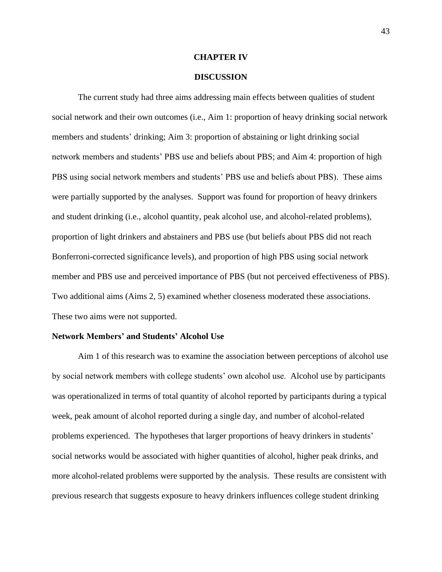### **CHAPTER IV**

## **DISCUSSION**

The current study had three aims addressing main effects between qualities of student social network and their own outcomes (i.e., Aim 1: proportion of heavy drinking social network members and students' drinking; Aim 3: proportion of abstaining or light drinking social network members and students' PBS use and beliefs about PBS; and Aim 4: proportion of high PBS using social network members and students' PBS use and beliefs about PBS). These aims were partially supported by the analyses. Support was found for proportion of heavy drinkers and student drinking (i.e., alcohol quantity, peak alcohol use, and alcohol-related problems), proportion of light drinkers and abstainers and PBS use (but beliefs about PBS did not reach Bonferroni-corrected significance levels), and proportion of high PBS using social network member and PBS use and perceived importance of PBS (but not perceived effectiveness of PBS). Two additional aims (Aims 2, 5) examined whether closeness moderated these associations. These two aims were not supported.

### **Network Members' and Students' Alcohol Use**

Aim 1 of this research was to examine the association between perceptions of alcohol use by social network members with college students' own alcohol use. Alcohol use by participants was operationalized in terms of total quantity of alcohol reported by participants during a typical week, peak amount of alcohol reported during a single day, and number of alcohol-related problems experienced. The hypotheses that larger proportions of heavy drinkers in students' social networks would be associated with higher quantities of alcohol, higher peak drinks, and more alcohol-related problems were supported by the analysis. These results are consistent with previous research that suggests exposure to heavy drinkers influences college student drinking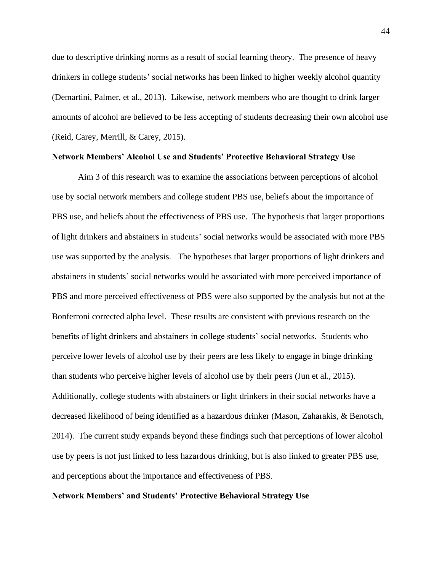due to descriptive drinking norms as a result of social learning theory. The presence of heavy drinkers in college students' social networks has been linked to higher weekly alcohol quantity (Demartini, Palmer, et al., 2013). Likewise, network members who are thought to drink larger amounts of alcohol are believed to be less accepting of students decreasing their own alcohol use (Reid, Carey, Merrill, & Carey, 2015).

## **Network Members' Alcohol Use and Students' Protective Behavioral Strategy Use**

Aim 3 of this research was to examine the associations between perceptions of alcohol use by social network members and college student PBS use, beliefs about the importance of PBS use, and beliefs about the effectiveness of PBS use. The hypothesis that larger proportions of light drinkers and abstainers in students' social networks would be associated with more PBS use was supported by the analysis. The hypotheses that larger proportions of light drinkers and abstainers in students' social networks would be associated with more perceived importance of PBS and more perceived effectiveness of PBS were also supported by the analysis but not at the Bonferroni corrected alpha level. These results are consistent with previous research on the benefits of light drinkers and abstainers in college students' social networks. Students who perceive lower levels of alcohol use by their peers are less likely to engage in binge drinking than students who perceive higher levels of alcohol use by their peers (Jun et al., 2015). Additionally, college students with abstainers or light drinkers in their social networks have a decreased likelihood of being identified as a hazardous drinker (Mason, Zaharakis, & Benotsch, 2014). The current study expands beyond these findings such that perceptions of lower alcohol use by peers is not just linked to less hazardous drinking, but is also linked to greater PBS use, and perceptions about the importance and effectiveness of PBS.

# **Network Members' and Students' Protective Behavioral Strategy Use**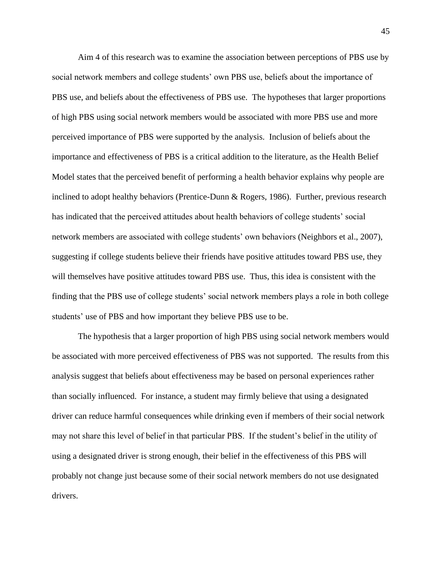Aim 4 of this research was to examine the association between perceptions of PBS use by social network members and college students' own PBS use, beliefs about the importance of PBS use, and beliefs about the effectiveness of PBS use. The hypotheses that larger proportions of high PBS using social network members would be associated with more PBS use and more perceived importance of PBS were supported by the analysis. Inclusion of beliefs about the importance and effectiveness of PBS is a critical addition to the literature, as the Health Belief Model states that the perceived benefit of performing a health behavior explains why people are inclined to adopt healthy behaviors (Prentice-Dunn & Rogers, 1986). Further, previous research has indicated that the perceived attitudes about health behaviors of college students' social network members are associated with college students' own behaviors (Neighbors et al., 2007), suggesting if college students believe their friends have positive attitudes toward PBS use, they will themselves have positive attitudes toward PBS use. Thus, this idea is consistent with the finding that the PBS use of college students' social network members plays a role in both college students' use of PBS and how important they believe PBS use to be.

The hypothesis that a larger proportion of high PBS using social network members would be associated with more perceived effectiveness of PBS was not supported. The results from this analysis suggest that beliefs about effectiveness may be based on personal experiences rather than socially influenced. For instance, a student may firmly believe that using a designated driver can reduce harmful consequences while drinking even if members of their social network may not share this level of belief in that particular PBS. If the student's belief in the utility of using a designated driver is strong enough, their belief in the effectiveness of this PBS will probably not change just because some of their social network members do not use designated drivers.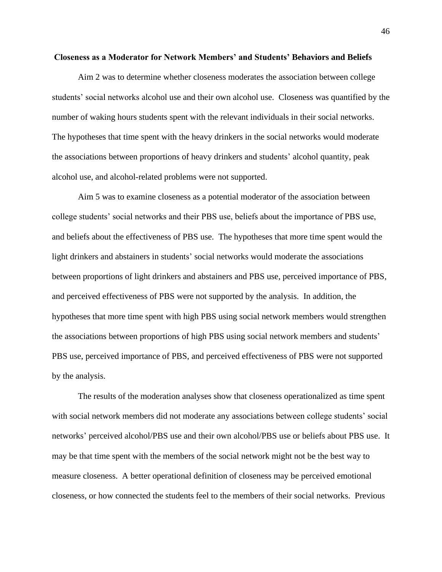### **Closeness as a Moderator for Network Members' and Students' Behaviors and Beliefs**

Aim 2 was to determine whether closeness moderates the association between college students' social networks alcohol use and their own alcohol use. Closeness was quantified by the number of waking hours students spent with the relevant individuals in their social networks. The hypotheses that time spent with the heavy drinkers in the social networks would moderate the associations between proportions of heavy drinkers and students' alcohol quantity, peak alcohol use, and alcohol-related problems were not supported.

Aim 5 was to examine closeness as a potential moderator of the association between college students' social networks and their PBS use, beliefs about the importance of PBS use, and beliefs about the effectiveness of PBS use. The hypotheses that more time spent would the light drinkers and abstainers in students' social networks would moderate the associations between proportions of light drinkers and abstainers and PBS use, perceived importance of PBS, and perceived effectiveness of PBS were not supported by the analysis. In addition, the hypotheses that more time spent with high PBS using social network members would strengthen the associations between proportions of high PBS using social network members and students' PBS use, perceived importance of PBS, and perceived effectiveness of PBS were not supported by the analysis.

The results of the moderation analyses show that closeness operationalized as time spent with social network members did not moderate any associations between college students' social networks' perceived alcohol/PBS use and their own alcohol/PBS use or beliefs about PBS use. It may be that time spent with the members of the social network might not be the best way to measure closeness. A better operational definition of closeness may be perceived emotional closeness, or how connected the students feel to the members of their social networks. Previous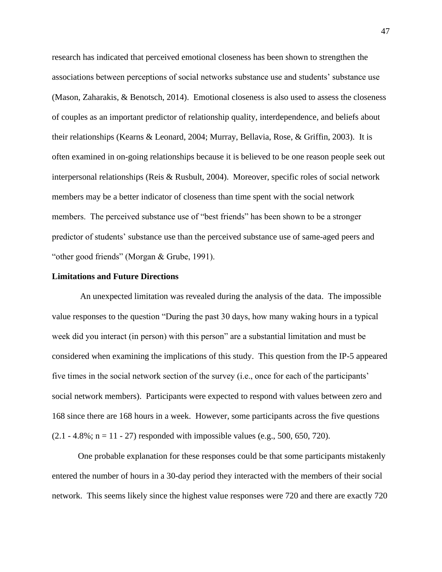research has indicated that perceived emotional closeness has been shown to strengthen the associations between perceptions of social networks substance use and students' substance use (Mason, Zaharakis, & Benotsch, 2014). Emotional closeness is also used to assess the closeness of couples as an important predictor of relationship quality, interdependence, and beliefs about their relationships (Kearns & Leonard, 2004; Murray, Bellavia, Rose, & Griffin, 2003). It is often examined in on-going relationships because it is believed to be one reason people seek out interpersonal relationships (Reis & Rusbult, 2004). Moreover, specific roles of social network members may be a better indicator of closeness than time spent with the social network members. The perceived substance use of "best friends" has been shown to be a stronger predictor of students' substance use than the perceived substance use of same-aged peers and "other good friends" (Morgan & Grube, 1991).

## **Limitations and Future Directions**

An unexpected limitation was revealed during the analysis of the data. The impossible value responses to the question "During the past 30 days, how many waking hours in a typical week did you interact (in person) with this person" are a substantial limitation and must be considered when examining the implications of this study. This question from the IP-5 appeared five times in the social network section of the survey (i.e., once for each of the participants' social network members). Participants were expected to respond with values between zero and 168 since there are 168 hours in a week. However, some participants across the five questions  $(2.1 - 4.8\%; n = 11 - 27)$  responded with impossible values (e.g., 500, 650, 720).

One probable explanation for these responses could be that some participants mistakenly entered the number of hours in a 30-day period they interacted with the members of their social network. This seems likely since the highest value responses were 720 and there are exactly 720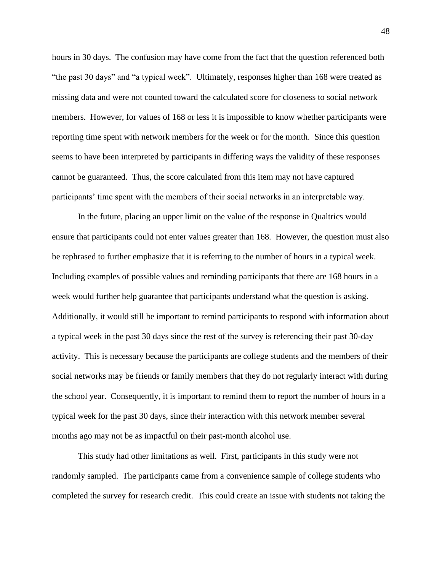hours in 30 days. The confusion may have come from the fact that the question referenced both "the past 30 days" and "a typical week". Ultimately, responses higher than 168 were treated as missing data and were not counted toward the calculated score for closeness to social network members. However, for values of 168 or less it is impossible to know whether participants were reporting time spent with network members for the week or for the month. Since this question seems to have been interpreted by participants in differing ways the validity of these responses cannot be guaranteed. Thus, the score calculated from this item may not have captured participants' time spent with the members of their social networks in an interpretable way.

In the future, placing an upper limit on the value of the response in Qualtrics would ensure that participants could not enter values greater than 168. However, the question must also be rephrased to further emphasize that it is referring to the number of hours in a typical week. Including examples of possible values and reminding participants that there are 168 hours in a week would further help guarantee that participants understand what the question is asking. Additionally, it would still be important to remind participants to respond with information about a typical week in the past 30 days since the rest of the survey is referencing their past 30-day activity. This is necessary because the participants are college students and the members of their social networks may be friends or family members that they do not regularly interact with during the school year. Consequently, it is important to remind them to report the number of hours in a typical week for the past 30 days, since their interaction with this network member several months ago may not be as impactful on their past-month alcohol use.

This study had other limitations as well. First, participants in this study were not randomly sampled. The participants came from a convenience sample of college students who completed the survey for research credit. This could create an issue with students not taking the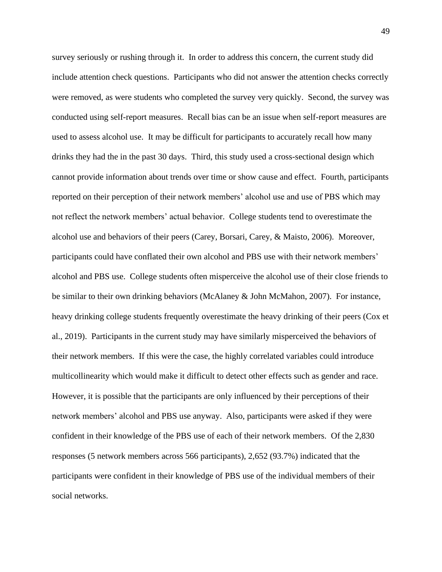survey seriously or rushing through it. In order to address this concern, the current study did include attention check questions. Participants who did not answer the attention checks correctly were removed, as were students who completed the survey very quickly. Second, the survey was conducted using self-report measures. Recall bias can be an issue when self-report measures are used to assess alcohol use. It may be difficult for participants to accurately recall how many drinks they had the in the past 30 days. Third, this study used a cross-sectional design which cannot provide information about trends over time or show cause and effect. Fourth, participants reported on their perception of their network members' alcohol use and use of PBS which may not reflect the network members' actual behavior. College students tend to overestimate the alcohol use and behaviors of their peers (Carey, Borsari, Carey, & Maisto, 2006). Moreover, participants could have conflated their own alcohol and PBS use with their network members' alcohol and PBS use. College students often misperceive the alcohol use of their close friends to be similar to their own drinking behaviors (McAlaney & John McMahon, 2007). For instance, heavy drinking college students frequently overestimate the heavy drinking of their peers (Cox et al., 2019). Participants in the current study may have similarly misperceived the behaviors of their network members. If this were the case, the highly correlated variables could introduce multicollinearity which would make it difficult to detect other effects such as gender and race. However, it is possible that the participants are only influenced by their perceptions of their network members' alcohol and PBS use anyway. Also, participants were asked if they were confident in their knowledge of the PBS use of each of their network members. Of the 2,830 responses (5 network members across 566 participants), 2,652 (93.7%) indicated that the participants were confident in their knowledge of PBS use of the individual members of their social networks.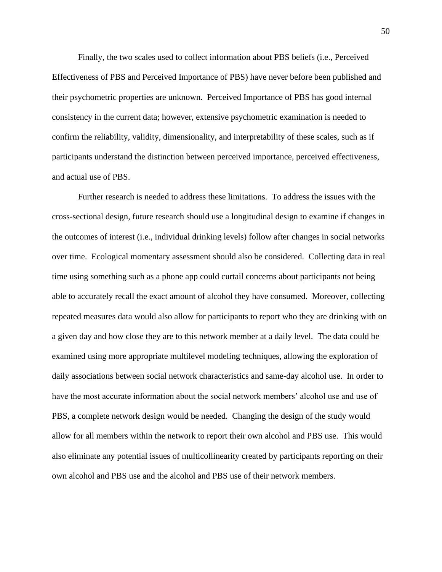Finally, the two scales used to collect information about PBS beliefs (i.e., Perceived Effectiveness of PBS and Perceived Importance of PBS) have never before been published and their psychometric properties are unknown. Perceived Importance of PBS has good internal consistency in the current data; however, extensive psychometric examination is needed to confirm the reliability, validity, dimensionality, and interpretability of these scales, such as if participants understand the distinction between perceived importance, perceived effectiveness, and actual use of PBS.

Further research is needed to address these limitations. To address the issues with the cross-sectional design, future research should use a longitudinal design to examine if changes in the outcomes of interest (i.e., individual drinking levels) follow after changes in social networks over time. Ecological momentary assessment should also be considered. Collecting data in real time using something such as a phone app could curtail concerns about participants not being able to accurately recall the exact amount of alcohol they have consumed. Moreover, collecting repeated measures data would also allow for participants to report who they are drinking with on a given day and how close they are to this network member at a daily level. The data could be examined using more appropriate multilevel modeling techniques, allowing the exploration of daily associations between social network characteristics and same-day alcohol use. In order to have the most accurate information about the social network members' alcohol use and use of PBS, a complete network design would be needed. Changing the design of the study would allow for all members within the network to report their own alcohol and PBS use. This would also eliminate any potential issues of multicollinearity created by participants reporting on their own alcohol and PBS use and the alcohol and PBS use of their network members.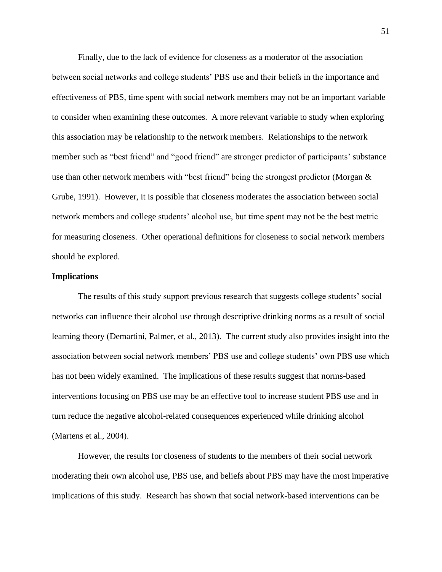Finally, due to the lack of evidence for closeness as a moderator of the association between social networks and college students' PBS use and their beliefs in the importance and effectiveness of PBS, time spent with social network members may not be an important variable to consider when examining these outcomes. A more relevant variable to study when exploring this association may be relationship to the network members. Relationships to the network member such as "best friend" and "good friend" are stronger predictor of participants' substance use than other network members with "best friend" being the strongest predictor (Morgan & Grube, 1991). However, it is possible that closeness moderates the association between social network members and college students' alcohol use, but time spent may not be the best metric for measuring closeness. Other operational definitions for closeness to social network members should be explored.

### **Implications**

The results of this study support previous research that suggests college students' social networks can influence their alcohol use through descriptive drinking norms as a result of social learning theory (Demartini, Palmer, et al., 2013). The current study also provides insight into the association between social network members' PBS use and college students' own PBS use which has not been widely examined. The implications of these results suggest that norms-based interventions focusing on PBS use may be an effective tool to increase student PBS use and in turn reduce the negative alcohol-related consequences experienced while drinking alcohol (Martens et al., 2004).

However, the results for closeness of students to the members of their social network moderating their own alcohol use, PBS use, and beliefs about PBS may have the most imperative implications of this study. Research has shown that social network-based interventions can be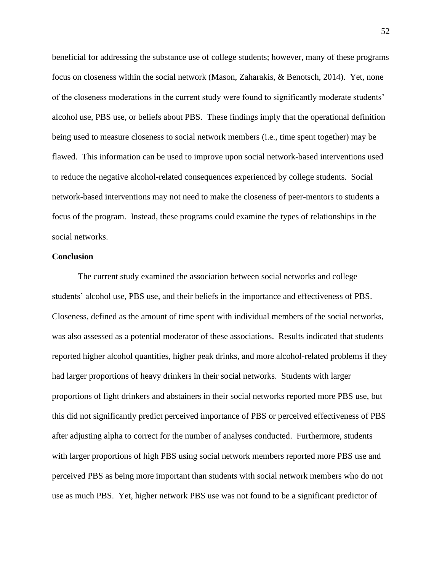beneficial for addressing the substance use of college students; however, many of these programs focus on closeness within the social network (Mason, Zaharakis, & Benotsch, 2014). Yet, none of the closeness moderations in the current study were found to significantly moderate students' alcohol use, PBS use, or beliefs about PBS. These findings imply that the operational definition being used to measure closeness to social network members (i.e., time spent together) may be flawed. This information can be used to improve upon social network-based interventions used to reduce the negative alcohol-related consequences experienced by college students. Social network-based interventions may not need to make the closeness of peer-mentors to students a focus of the program. Instead, these programs could examine the types of relationships in the social networks.

## **Conclusion**

The current study examined the association between social networks and college students' alcohol use, PBS use, and their beliefs in the importance and effectiveness of PBS. Closeness, defined as the amount of time spent with individual members of the social networks, was also assessed as a potential moderator of these associations. Results indicated that students reported higher alcohol quantities, higher peak drinks, and more alcohol-related problems if they had larger proportions of heavy drinkers in their social networks. Students with larger proportions of light drinkers and abstainers in their social networks reported more PBS use, but this did not significantly predict perceived importance of PBS or perceived effectiveness of PBS after adjusting alpha to correct for the number of analyses conducted. Furthermore, students with larger proportions of high PBS using social network members reported more PBS use and perceived PBS as being more important than students with social network members who do not use as much PBS. Yet, higher network PBS use was not found to be a significant predictor of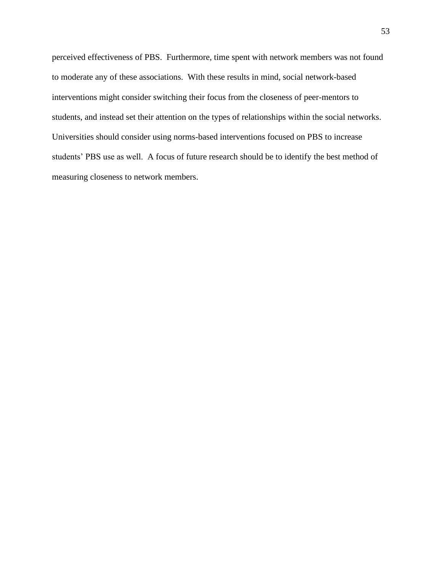perceived effectiveness of PBS. Furthermore, time spent with network members was not found to moderate any of these associations. With these results in mind, social network-based interventions might consider switching their focus from the closeness of peer-mentors to students, and instead set their attention on the types of relationships within the social networks. Universities should consider using norms-based interventions focused on PBS to increase students' PBS use as well. A focus of future research should be to identify the best method of measuring closeness to network members.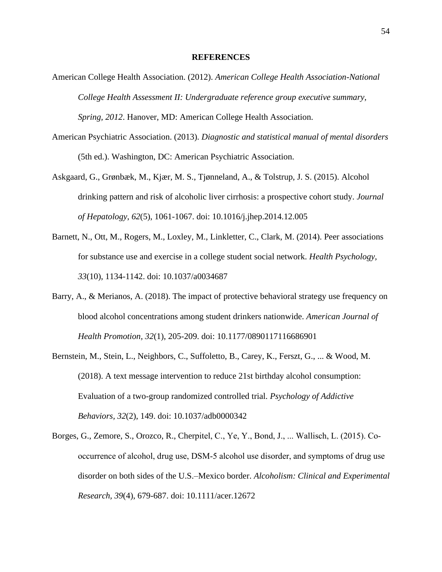### **REFERENCES**

- American College Health Association. (2012). *American College Health Association-National College Health Assessment II: Undergraduate reference group executive summary, Spring, 2012*. Hanover, MD: American College Health Association.
- American Psychiatric Association. (2013). *Diagnostic and statistical manual of mental disorders* (5th ed.). Washington, DC: American Psychiatric Association.
- Askgaard, G., Grønbæk, M., Kjær, M. S., Tjønneland, A., & Tolstrup, J. S. (2015). Alcohol drinking pattern and risk of alcoholic liver cirrhosis: a prospective cohort study. *Journal of Hepatology*, *62*(5), 1061-1067. doi: 10.1016/j.jhep.2014.12.005
- Barnett, N., Ott, M., Rogers, M., Loxley, M., Linkletter, C., Clark, M. (2014). Peer associations for substance use and exercise in a college student social network. *Health Psychology, 33*(10), 1134-1142. doi: 10.1037/a0034687
- Barry, A., & Merianos, A. (2018). The impact of protective behavioral strategy use frequency on blood alcohol concentrations among student drinkers nationwide. *American Journal of Health Promotion, 32*(1), 205-209. doi: 10.1177/0890117116686901
- Bernstein, M., Stein, L., Neighbors, C., Suffoletto, B., Carey, K., Ferszt, G., ... & Wood, M. (2018). A text message intervention to reduce 21st birthday alcohol consumption: Evaluation of a two-group randomized controlled trial. *Psychology of Addictive Behaviors, 32*(2), 149. doi: 10.1037/adb0000342
- Borges, G., Zemore, S., Orozco, R., Cherpitel, C., Ye, Y., Bond, J., ... Wallisch, L. (2015). Co‐ occurrence of alcohol, drug use, DSM‐5 alcohol use disorder, and symptoms of drug use disorder on both sides of the U.S.–Mexico border. *Alcoholism: Clinical and Experimental Research, 39*(4), 679-687. doi: 10.1111/acer.12672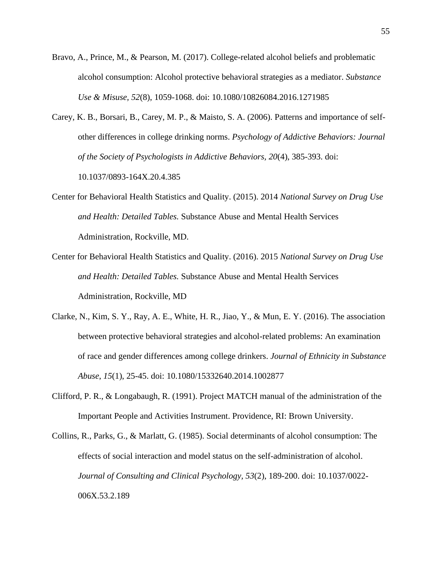- Bravo, A., Prince, M., & Pearson, M. (2017). College-related alcohol beliefs and problematic alcohol consumption: Alcohol protective behavioral strategies as a mediator. *Substance Use & Misuse, 52*(8), 1059-1068. doi: 10.1080/10826084.2016.1271985
- Carey, K. B., Borsari, B., Carey, M. P., & Maisto, S. A. (2006). Patterns and importance of selfother differences in college drinking norms. *Psychology of Addictive Behaviors: Journal of the Society of Psychologists in Addictive Behaviors, 20*(4), 385-393. doi: 10.1037/0893-164X.20.4.385
- Center for Behavioral Health Statistics and Quality. (2015). 2014 *National Survey on Drug Use and Health: Detailed Tables.* Substance Abuse and Mental Health Services Administration, Rockville, MD.
- Center for Behavioral Health Statistics and Quality. (2016). 2015 *National Survey on Drug Use and Health: Detailed Tables.* Substance Abuse and Mental Health Services Administration, Rockville, MD
- Clarke, N., Kim, S. Y., Ray, A. E., White, H. R., Jiao, Y., & Mun, E. Y. (2016). The association between protective behavioral strategies and alcohol-related problems: An examination of race and gender differences among college drinkers. *Journal of Ethnicity in Substance Abuse*, *15*(1), 25-45. doi: 10.1080/15332640.2014.1002877
- Clifford, P. R., & Longabaugh, R. (1991). Project MATCH manual of the administration of the Important People and Activities Instrument. Providence, RI: Brown University.
- Collins, R., Parks, G., & Marlatt, G. (1985). Social determinants of alcohol consumption: The effects of social interaction and model status on the self-administration of alcohol. *Journal of Consulting and Clinical Psychology, 53*(2), 189-200. doi: 10.1037/0022- 006X.53.2.189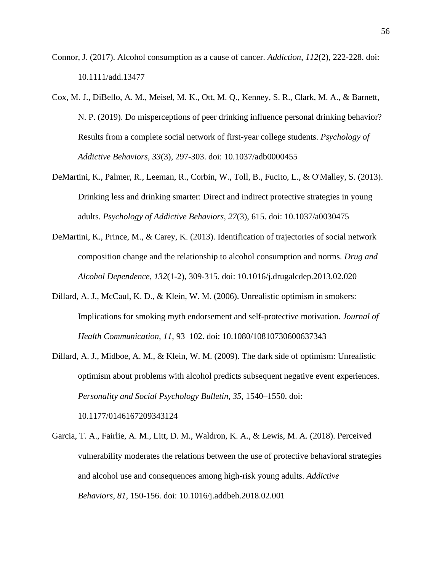- Connor, J. (2017). Alcohol consumption as a cause of cancer. *Addiction*, *112*(2), 222-228. doi: 10.1111/add.13477
- Cox, M. J., DiBello, A. M., Meisel, M. K., Ott, M. Q., Kenney, S. R., Clark, M. A., & Barnett, N. P. (2019). Do misperceptions of peer drinking influence personal drinking behavior? Results from a complete social network of first-year college students. *Psychology of Addictive Behaviors, 33*(3), 297-303. doi: 10.1037/adb0000455
- DeMartini, K., Palmer, R., Leeman, R., Corbin, W., Toll, B., Fucito, L., & O'Malley, S. (2013). Drinking less and drinking smarter: Direct and indirect protective strategies in young adults. *Psychology of Addictive Behaviors, 27*(3), 615. doi: 10.1037/a0030475
- DeMartini, K., Prince, M., & Carey, K. (2013). Identification of trajectories of social network composition change and the relationship to alcohol consumption and norms. *Drug and Alcohol Dependence, 132*(1-2), 309-315. doi: 10.1016/j.drugalcdep.2013.02.020
- Dillard, A. J., McCaul, K. D., & Klein, W. M. (2006). Unrealistic optimism in smokers: Implications for smoking myth endorsement and self-protective motivation. *Journal of Health Communication, 11*, 93–102. doi: 10.1080/10810730600637343
- Dillard, A. J., Midboe, A. M., & Klein, W. M. (2009). The dark side of optimism: Unrealistic optimism about problems with alcohol predicts subsequent negative event experiences. *Personality and Social Psychology Bulletin, 35*, 1540–1550. doi: 10.1177/0146167209343124
- Garcia, T. A., Fairlie, A. M., Litt, D. M., Waldron, K. A., & Lewis, M. A. (2018). Perceived vulnerability moderates the relations between the use of protective behavioral strategies and alcohol use and consequences among high-risk young adults. *Addictive Behaviors*, *81*, 150-156. doi: 10.1016/j.addbeh.2018.02.001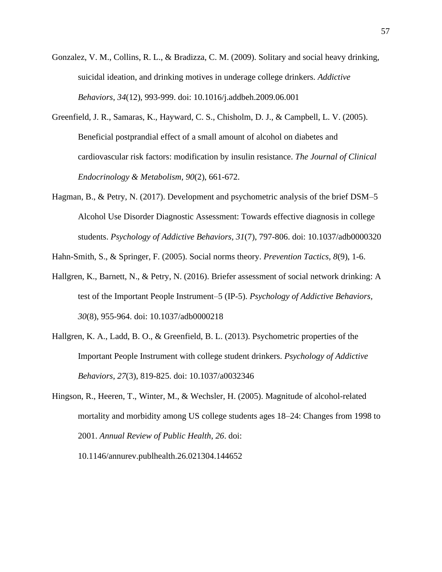- Gonzalez, V. M., Collins, R. L., & Bradizza, C. M. (2009). Solitary and social heavy drinking, suicidal ideation, and drinking motives in underage college drinkers. *Addictive Behaviors*, *34*(12), 993-999. doi: 10.1016/j.addbeh.2009.06.001
- Greenfield, J. R., Samaras, K., Hayward, C. S., Chisholm, D. J., & Campbell, L. V. (2005). Beneficial postprandial effect of a small amount of alcohol on diabetes and cardiovascular risk factors: modification by insulin resistance. *The Journal of Clinical Endocrinology & Metabolism*, *90*(2), 661-672.
- Hagman, B., & Petry, N. (2017). Development and psychometric analysis of the brief DSM–5 Alcohol Use Disorder Diagnostic Assessment: Towards effective diagnosis in college students. *Psychology of Addictive Behaviors, 31*(7), 797-806. doi: 10.1037/adb0000320

Hahn-Smith, S., & Springer, F. (2005). Social norms theory. *Prevention Tactics, 8*(9), 1-6.

- Hallgren, K., Barnett, N., & Petry, N. (2016). Briefer assessment of social network drinking: A test of the Important People Instrument–5 (IP-5). *Psychology of Addictive Behaviors, 30*(8), 955-964. doi: 10.1037/adb0000218
- Hallgren, K. A., Ladd, B. O., & Greenfield, B. L. (2013). Psychometric properties of the Important People Instrument with college student drinkers. *Psychology of Addictive Behaviors*, *27*(3), 819-825. doi: 10.1037/a0032346
- Hingson, R., Heeren, T., Winter, M., & Wechsler, H. (2005). Magnitude of alcohol-related mortality and morbidity among US college students ages 18–24: Changes from 1998 to 2001. *Annual Review of Public Health*, *26*. doi:

10.1146/annurev.publhealth.26.021304.144652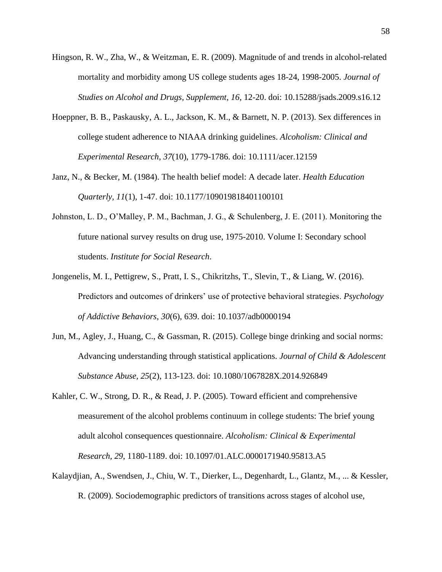- Hingson, R. W., Zha, W., & Weitzman, E. R. (2009). Magnitude of and trends in alcohol-related mortality and morbidity among US college students ages 18-24, 1998-2005. *Journal of Studies on Alcohol and Drugs, Supplement*, *16*, 12-20. doi: 10.15288/jsads.2009.s16.12
- Hoeppner, B. B., Paskausky, A. L., Jackson, K. M., & Barnett, N. P. (2013). Sex differences in college student adherence to NIAAA drinking guidelines. *Alcoholism: Clinical and Experimental Research*, *37*(10), 1779-1786. doi: 10.1111/acer.12159
- Janz, N., & Becker, M. (1984). The health belief model: A decade later. *Health Education Quarterly, 11*(1), 1-47. doi: 10.1177/109019818401100101
- Johnston, L. D., O'Malley, P. M., Bachman, J. G., & Schulenberg, J. E. (2011). Monitoring the future national survey results on drug use, 1975-2010. Volume I: Secondary school students. *Institute for Social Research*.
- Jongenelis, M. I., Pettigrew, S., Pratt, I. S., Chikritzhs, T., Slevin, T., & Liang, W. (2016). Predictors and outcomes of drinkers' use of protective behavioral strategies. *Psychology of Addictive Behaviors*, *30*(6), 639. doi: 10.1037/adb0000194
- Jun, M., Agley, J., Huang, C., & Gassman, R. (2015). College binge drinking and social norms: Advancing understanding through statistical applications. *Journal of Child & Adolescent Substance Abuse, 25*(2), 113-123. doi: 10.1080/1067828X.2014.926849
- Kahler, C. W., Strong, D. R., & Read, J. P. (2005). Toward efficient and comprehensive measurement of the alcohol problems continuum in college students: The brief young adult alcohol consequences questionnaire. *Alcoholism: Clinical & Experimental Research, 29*, 1180-1189. doi: 10.1097/01.ALC.0000171940.95813.A5
- Kalaydjian, A., Swendsen, J., Chiu, W. T., Dierker, L., Degenhardt, L., Glantz, M., ... & Kessler, R. (2009). Sociodemographic predictors of transitions across stages of alcohol use,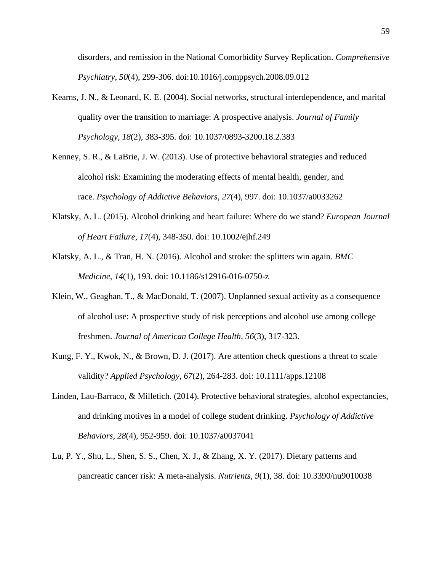disorders, and remission in the National Comorbidity Survey Replication. *Comprehensive Psychiatry*, *50*(4), 299-306. doi:10.1016/j.comppsych.2008.09.012

- Kearns, J. N., & Leonard, K. E. (2004). Social networks, structural interdependence, and marital quality over the transition to marriage: A prospective analysis. *Journal of Family Psychology, 18*(2), 383-395. doi: 10.1037/0893-3200.18.2.383
- Kenney, S. R., & LaBrie, J. W. (2013). Use of protective behavioral strategies and reduced alcohol risk: Examining the moderating effects of mental health, gender, and race. *Psychology of Addictive Behaviors*, *27*(4), 997. doi: 10.1037/a0033262
- Klatsky, A. L. (2015). Alcohol drinking and heart failure: Where do we stand? *European Journal of Heart Failure*, *17*(4), 348-350. doi: 10.1002/ejhf.249
- Klatsky, A. L., & Tran, H. N. (2016). Alcohol and stroke: the splitters win again. *BMC Medicine*, *14*(1), 193. doi: 10.1186/s12916-016-0750-z
- Klein, W., Geaghan, T., & MacDonald, T. (2007). Unplanned sexual activity as a consequence of alcohol use: A prospective study of risk perceptions and alcohol use among college freshmen. *Journal of American College Health*, *56*(3), 317-323.
- Kung, F. Y., Kwok, N., & Brown, D. J. (2017). Are attention check questions a threat to scale validity? *Applied Psychology*, *67*(2), 264-283. doi: 10.1111/apps.12108
- Linden, Lau-Barraco, & Milletich. (2014). Protective behavioral strategies, alcohol expectancies, and drinking motives in a model of college student drinking. *Psychology of Addictive Behaviors, 28*(4), 952-959. doi: 10.1037/a0037041
- Lu, P. Y., Shu, L., Shen, S. S., Chen, X. J., & Zhang, X. Y. (2017). Dietary patterns and pancreatic cancer risk: A meta-analysis. *Nutrients*, *9*(1), 38. doi: 10.3390/nu9010038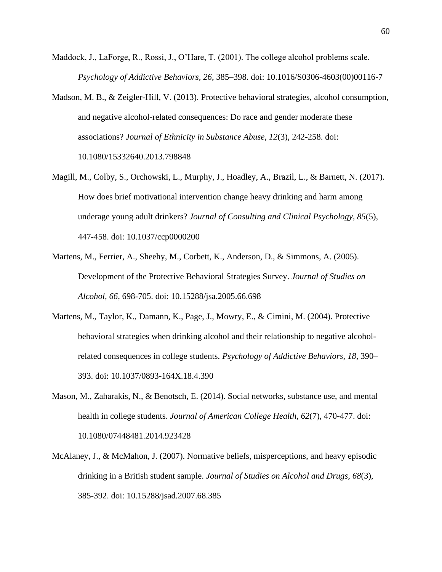- Maddock, J., LaForge, R., Rossi, J., O'Hare, T. (2001). The college alcohol problems scale. *Psychology of Addictive Behaviors, 26*, 385–398. doi: 10.1016/S0306-4603(00)00116-7
- Madson, M. B., & Zeigler-Hill, V. (2013). Protective behavioral strategies, alcohol consumption, and negative alcohol-related consequences: Do race and gender moderate these associations? *Journal of Ethnicity in Substance Abuse, 12*(3), 242-258. doi: 10.1080/15332640.2013.798848
- Magill, M., Colby, S., Orchowski, L., Murphy, J., Hoadley, A., Brazil, L., & Barnett, N. (2017). How does brief motivational intervention change heavy drinking and harm among underage young adult drinkers? *Journal of Consulting and Clinical Psychology, 85*(5), 447-458. doi: 10.1037/ccp0000200
- Martens, M., Ferrier, A., Sheehy, M., Corbett, K., Anderson, D., & Simmons, A. (2005). Development of the Protective Behavioral Strategies Survey. *Journal of Studies on Alcohol, 66*, 698-705. doi: 10.15288/jsa.2005.66.698
- Martens, M., Taylor, K., Damann, K., Page, J., Mowry, E., & Cimini, M. (2004). Protective behavioral strategies when drinking alcohol and their relationship to negative alcoholrelated consequences in college students. *Psychology of Addictive Behaviors, 18*, 390– 393. doi: 10.1037/0893-164X.18.4.390
- Mason, M., Zaharakis, N., & Benotsch, E. (2014). Social networks, substance use, and mental health in college students. *Journal of American College Health, 62*(7), 470-477. doi: 10.1080/07448481.2014.923428
- McAlaney, J., & McMahon, J. (2007). Normative beliefs, misperceptions, and heavy episodic drinking in a British student sample. *Journal of Studies on Alcohol and Drugs, 68*(3), 385-392. doi: 10.15288/jsad.2007.68.385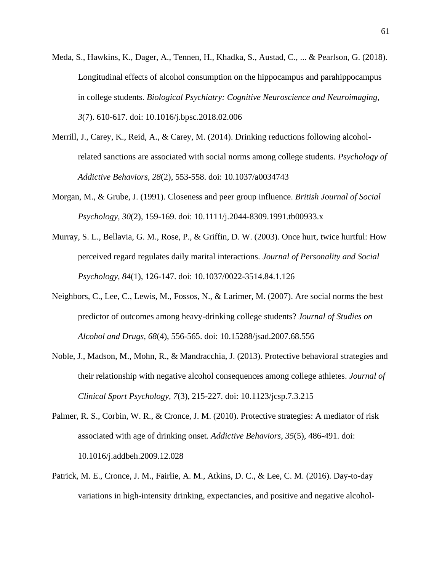- Meda, S., Hawkins, K., Dager, A., Tennen, H., Khadka, S., Austad, C., ... & Pearlson, G. (2018). Longitudinal effects of alcohol consumption on the hippocampus and parahippocampus in college students. *Biological Psychiatry: Cognitive Neuroscience and Neuroimaging, 3*(7). 610-617. doi: 10.1016/j.bpsc.2018.02.006
- Merrill, J., Carey, K., Reid, A., & Carey, M. (2014). Drinking reductions following alcoholrelated sanctions are associated with social norms among college students. *Psychology of Addictive Behaviors, 28*(2), 553-558. doi: 10.1037/a0034743
- Morgan, M., & Grube, J. (1991). Closeness and peer group influence. *British Journal of Social Psychology, 30*(2), 159-169. doi: 10.1111/j.2044-8309.1991.tb00933.x
- Murray, S. L., Bellavia, G. M., Rose, P., & Griffin, D. W. (2003). Once hurt, twice hurtful: How perceived regard regulates daily marital interactions. *Journal of Personality and Social Psychology, 84*(1), 126-147. doi: 10.1037/0022-3514.84.1.126
- Neighbors, C., Lee, C., Lewis, M., Fossos, N., & Larimer, M. (2007). Are social norms the best predictor of outcomes among heavy-drinking college students? *Journal of Studies on Alcohol and Drugs, 68*(4), 556-565. doi: 10.15288/jsad.2007.68.556
- Noble, J., Madson, M., Mohn, R., & Mandracchia, J. (2013). Protective behavioral strategies and their relationship with negative alcohol consequences among college athletes. *Journal of Clinical Sport Psychology, 7*(3), 215-227. doi: 10.1123/jcsp.7.3.215
- Palmer, R. S., Corbin, W. R., & Cronce, J. M. (2010). Protective strategies: A mediator of risk associated with age of drinking onset. *Addictive Behaviors*, *35*(5), 486-491. doi: 10.1016/j.addbeh.2009.12.028
- Patrick, M. E., Cronce, J. M., Fairlie, A. M., Atkins, D. C., & Lee, C. M. (2016). Day-to-day variations in high-intensity drinking, expectancies, and positive and negative alcohol-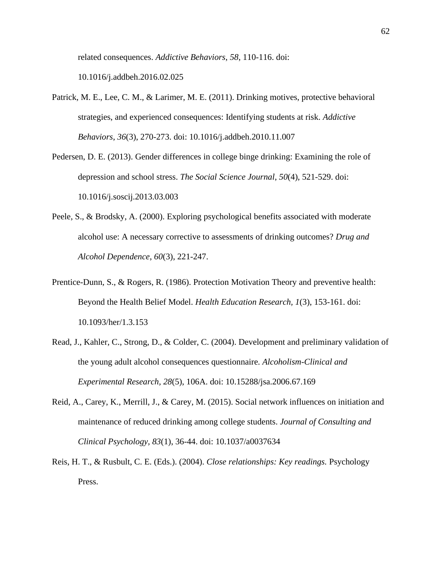related consequences. *Addictive Behaviors*, *58*, 110-116. doi:

10.1016/j.addbeh.2016.02.025

- Patrick, M. E., Lee, C. M., & Larimer, M. E. (2011). Drinking motives, protective behavioral strategies, and experienced consequences: Identifying students at risk. *Addictive Behaviors*, *36*(3), 270-273. doi: 10.1016/j.addbeh.2010.11.007
- Pedersen, D. E. (2013). Gender differences in college binge drinking: Examining the role of depression and school stress. *The Social Science Journal*, *50*(4), 521-529. doi: 10.1016/j.soscij.2013.03.003
- Peele, S., & Brodsky, A. (2000). Exploring psychological benefits associated with moderate alcohol use: A necessary corrective to assessments of drinking outcomes? *Drug and Alcohol Dependence*, *60*(3), 221-247.
- Prentice-Dunn, S., & Rogers, R. (1986). Protection Motivation Theory and preventive health: Beyond the Health Belief Model. *Health Education Research, 1*(3), 153-161. doi: 10.1093/her/1.3.153
- Read, J., Kahler, C., Strong, D., & Colder, C. (2004). Development and preliminary validation of the young adult alcohol consequences questionnaire. *Alcoholism-Clinical and Experimental Research, 28*(5), 106A. doi: 10.15288/jsa.2006.67.169
- Reid, A., Carey, K., Merrill, J., & Carey, M. (2015). Social network influences on initiation and maintenance of reduced drinking among college students. *Journal of Consulting and Clinical Psychology, 83*(1), 36-44. doi: 10.1037/a0037634
- Reis, H. T., & Rusbult, C. E. (Eds.). (2004). *Close relationships: Key readings.* Psychology Press.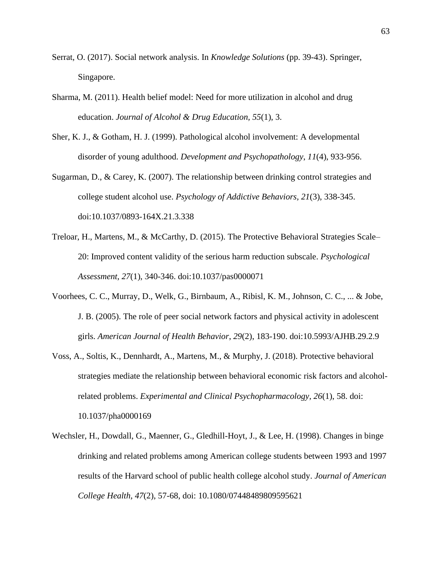- Serrat, O. (2017). Social network analysis. In *Knowledge Solutions* (pp. 39-43). Springer, Singapore.
- Sharma, M. (2011). Health belief model: Need for more utilization in alcohol and drug education. *Journal of Alcohol & Drug Education, 55*(1), 3.
- Sher, K. J., & Gotham, H. J. (1999). Pathological alcohol involvement: A developmental disorder of young adulthood. *Development and Psychopathology*, *11*(4), 933-956.
- Sugarman, D., & Carey, K. (2007). The relationship between drinking control strategies and college student alcohol use. *Psychology of Addictive Behaviors, 21*(3), 338-345. doi:10.1037/0893-164X.21.3.338
- Treloar, H., Martens, M., & McCarthy, D. (2015). The Protective Behavioral Strategies Scale– 20: Improved content validity of the serious harm reduction subscale. *Psychological Assessment, 27*(1), 340-346. doi:10.1037/pas0000071
- Voorhees, C. C., Murray, D., Welk, G., Birnbaum, A., Ribisl, K. M., Johnson, C. C., ... & Jobe, J. B. (2005). The role of peer social network factors and physical activity in adolescent girls. *American Journal of Health Behavior*, *29*(2), 183-190. doi:10.5993/AJHB.29.2.9
- Voss, A., Soltis, K., Dennhardt, A., Martens, M., & Murphy, J. (2018). Protective behavioral strategies mediate the relationship between behavioral economic risk factors and alcoholrelated problems. *Experimental and Clinical Psychopharmacology, 26*(1), 58. doi: 10.1037/pha0000169
- Wechsler, H., Dowdall, G., Maenner, G., Gledhill-Hoyt, J., & Lee, H. (1998). Changes in binge drinking and related problems among American college students between 1993 and 1997 results of the Harvard school of public health college alcohol study. *Journal of American College Health, 47*(2), 57-68, doi: 10.1080/07448489809595621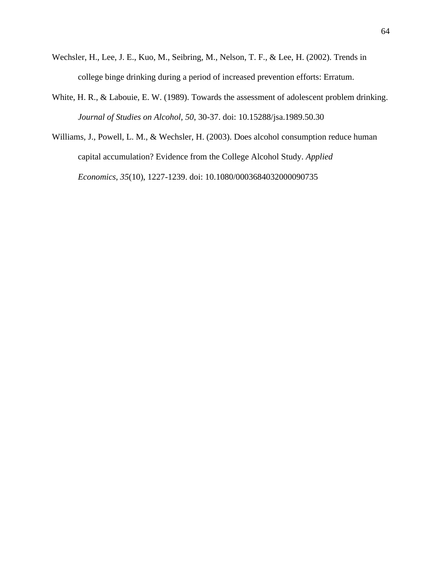- Wechsler, H., Lee, J. E., Kuo, M., Seibring, M., Nelson, T. F., & Lee, H. (2002). Trends in college binge drinking during a period of increased prevention efforts: Erratum.
- White, H. R., & Labouie, E. W. (1989). Towards the assessment of adolescent problem drinking. *Journal of Studies on Alcohol, 50*, 30-37. doi: 10.15288/jsa.1989.50.30
- Williams, J., Powell, L. M., & Wechsler, H. (2003). Does alcohol consumption reduce human capital accumulation? Evidence from the College Alcohol Study. *Applied Economics*, *35*(10), 1227-1239. doi: 10.1080/0003684032000090735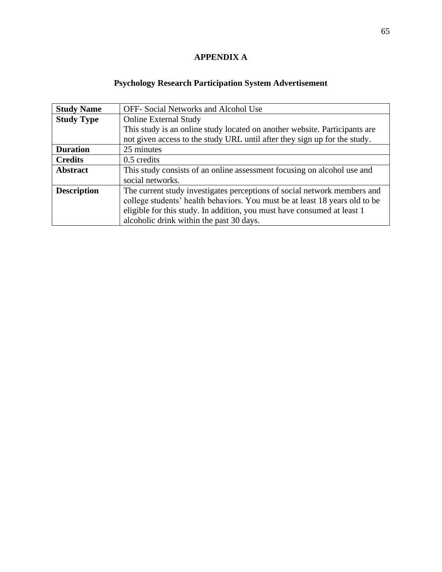# **APPENDIX A**

# **Psychology Research Participation System Advertisement**

| <b>Study Name</b>  | <b>OFF-</b> Social Networks and Alcohol Use                                 |
|--------------------|-----------------------------------------------------------------------------|
| <b>Study Type</b>  | <b>Online External Study</b>                                                |
|                    | This study is an online study located on another website. Participants are  |
|                    | not given access to the study URL until after they sign up for the study.   |
| <b>Duration</b>    | 25 minutes                                                                  |
| <b>Credits</b>     | $0.5$ credits                                                               |
| <b>Abstract</b>    | This study consists of an online assessment focusing on alcohol use and     |
|                    | social networks.                                                            |
| <b>Description</b> | The current study investigates perceptions of social network members and    |
|                    | college students' health behaviors. You must be at least 18 years old to be |
|                    | eligible for this study. In addition, you must have consumed at least 1     |
|                    | alcoholic drink within the past 30 days.                                    |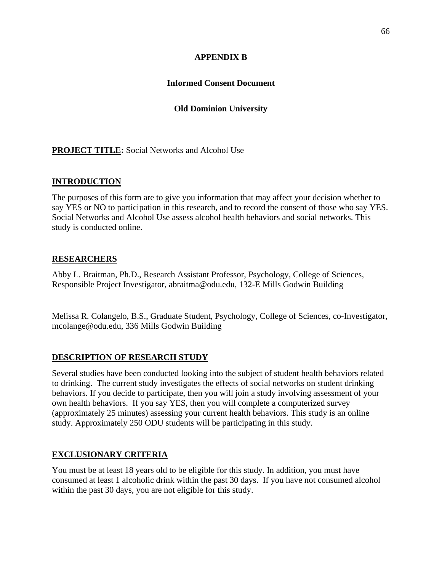# **APPENDIX B**

# **Informed Consent Document**

# **Old Dominion University**

# **PROJECT TITLE:** Social Networks and Alcohol Use

# **INTRODUCTION**

The purposes of this form are to give you information that may affect your decision whether to say YES or NO to participation in this research, and to record the consent of those who say YES. Social Networks and Alcohol Use assess alcohol health behaviors and social networks. This study is conducted online.

### **RESEARCHERS**

Abby L. Braitman, Ph.D., Research Assistant Professor, Psychology, College of Sciences, Responsible Project Investigator, abraitma@odu.edu, 132-E Mills Godwin Building

Melissa R. Colangelo, B.S., Graduate Student, Psychology, College of Sciences, co-Investigator, mcolange@odu.edu, 336 Mills Godwin Building

# **DESCRIPTION OF RESEARCH STUDY**

Several studies have been conducted looking into the subject of student health behaviors related to drinking. The current study investigates the effects of social networks on student drinking behaviors. If you decide to participate, then you will join a study involving assessment of your own health behaviors. If you say YES, then you will complete a computerized survey (approximately 25 minutes) assessing your current health behaviors. This study is an online study. Approximately 250 ODU students will be participating in this study.

# **EXCLUSIONARY CRITERIA**

You must be at least 18 years old to be eligible for this study. In addition, you must have consumed at least 1 alcoholic drink within the past 30 days. If you have not consumed alcohol within the past 30 days, you are not eligible for this study.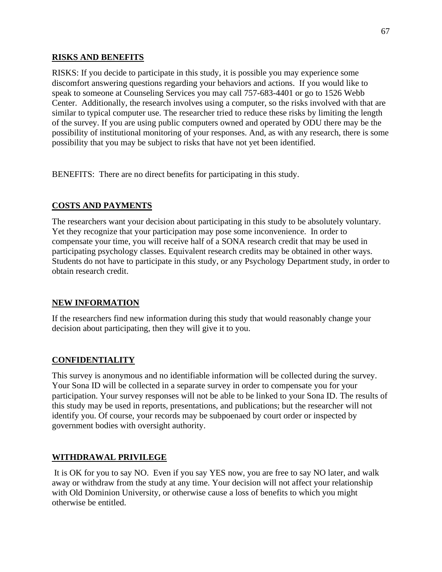### **RISKS AND BENEFITS**

RISKS: If you decide to participate in this study, it is possible you may experience some discomfort answering questions regarding your behaviors and actions. If you would like to speak to someone at Counseling Services you may call 757-683-4401 or go to 1526 Webb Center. Additionally, the research involves using a computer, so the risks involved with that are similar to typical computer use. The researcher tried to reduce these risks by limiting the length of the survey. If you are using public computers owned and operated by ODU there may be the possibility of institutional monitoring of your responses. And, as with any research, there is some possibility that you may be subject to risks that have not yet been identified.

BENEFITS: There are no direct benefits for participating in this study.

# **COSTS AND PAYMENTS**

The researchers want your decision about participating in this study to be absolutely voluntary. Yet they recognize that your participation may pose some inconvenience. In order to compensate your time, you will receive half of a SONA research credit that may be used in participating psychology classes. Equivalent research credits may be obtained in other ways. Students do not have to participate in this study, or any Psychology Department study, in order to obtain research credit.

# **NEW INFORMATION**

If the researchers find new information during this study that would reasonably change your decision about participating, then they will give it to you.

# **CONFIDENTIALITY**

This survey is anonymous and no identifiable information will be collected during the survey. Your Sona ID will be collected in a separate survey in order to compensate you for your participation. Your survey responses will not be able to be linked to your Sona ID. The results of this study may be used in reports, presentations, and publications; but the researcher will not identify you. Of course, your records may be subpoenaed by court order or inspected by government bodies with oversight authority.

# **WITHDRAWAL PRIVILEGE**

It is OK for you to say NO. Even if you say YES now, you are free to say NO later, and walk away or withdraw from the study at any time. Your decision will not affect your relationship with Old Dominion University, or otherwise cause a loss of benefits to which you might otherwise be entitled.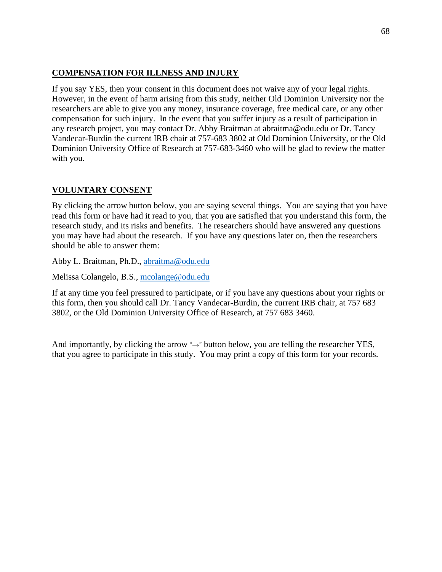### **COMPENSATION FOR ILLNESS AND INJURY**

If you say YES, then your consent in this document does not waive any of your legal rights. However, in the event of harm arising from this study, neither Old Dominion University nor the researchers are able to give you any money, insurance coverage, free medical care, or any other compensation for such injury. In the event that you suffer injury as a result of participation in any research project, you may contact Dr. Abby Braitman at abraitma@odu.edu or Dr. Tancy Vandecar-Burdin the current IRB chair at 757-683 3802 at Old Dominion University, or the Old Dominion University Office of Research at 757-683-3460 who will be glad to review the matter with you.

# **VOLUNTARY CONSENT**

By clicking the arrow button below, you are saying several things. You are saying that you have read this form or have had it read to you, that you are satisfied that you understand this form, the research study, and its risks and benefits. The researchers should have answered any questions you may have had about the research. If you have any questions later on, then the researchers should be able to answer them:

Abby L. Braitman, Ph.D., [abraitma@odu.edu](mailto:abraitma@odu.edu)

Melissa Colangelo, B.S., [mcolange@odu.edu](mailto:mcolange@odu.edu)

If at any time you feel pressured to participate, or if you have any questions about your rights or this form, then you should call Dr. Tancy Vandecar-Burdin, the current IRB chair, at 757 683 3802, or the Old Dominion University Office of Research, at 757 683 3460.

And importantly, by clicking the arrow "→" button below, you are telling the researcher YES, that you agree to participate in this study. You may print a copy of this form for your records.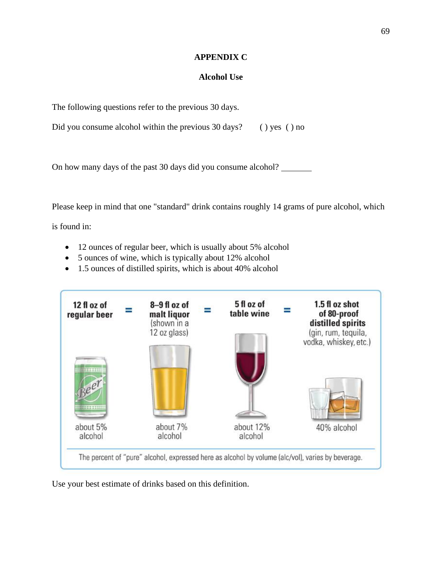### **APPENDIX C**

### **Alcohol Use**

The following questions refer to the previous 30 days.

Did you consume alcohol within the previous 30 days? () yes () no

On how many days of the past 30 days did you consume alcohol?

Please keep in mind that one "standard" drink contains roughly 14 grams of pure alcohol, which

is found in:

- 12 ounces of regular beer, which is usually about 5% alcohol
- 5 ounces of wine, which is typically about 12% alcohol
- 1.5 ounces of distilled spirits, which is about 40% alcohol



Use your best estimate of drinks based on this definition.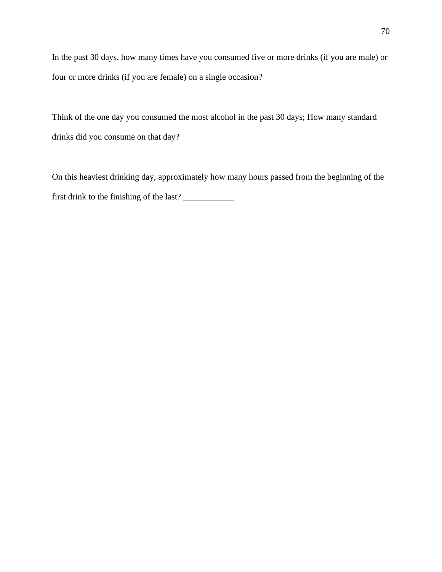In the past 30 days, how many times have you consumed five or more drinks (if you are male) or four or more drinks (if you are female) on a single occasion?

Think of the one day you consumed the most alcohol in the past 30 days; How many standard drinks did you consume on that day?

On this heaviest drinking day, approximately how many hours passed from the beginning of the first drink to the finishing of the last?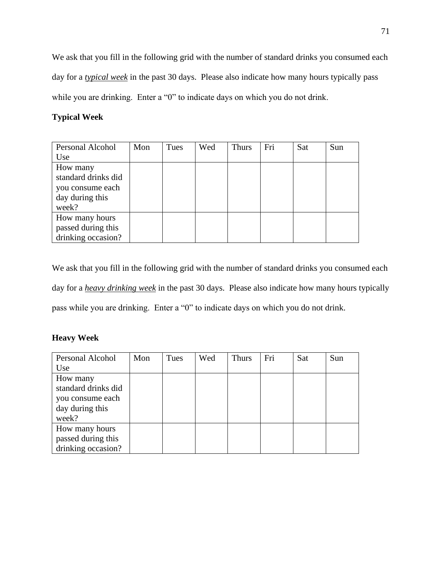We ask that you fill in the following grid with the number of standard drinks you consumed each day for a *typical week* in the past 30 days. Please also indicate how many hours typically pass while you are drinking. Enter a "0" to indicate days on which you do not drink.

# **Typical Week**

| Personal Alcohol    | Mon | Tues | Wed | <b>Thurs</b> | Fri | Sat | Sun |
|---------------------|-----|------|-----|--------------|-----|-----|-----|
| Use                 |     |      |     |              |     |     |     |
| How many            |     |      |     |              |     |     |     |
| standard drinks did |     |      |     |              |     |     |     |
| you consume each    |     |      |     |              |     |     |     |
| day during this     |     |      |     |              |     |     |     |
| week?               |     |      |     |              |     |     |     |
| How many hours      |     |      |     |              |     |     |     |
| passed during this  |     |      |     |              |     |     |     |
| drinking occasion?  |     |      |     |              |     |     |     |

We ask that you fill in the following grid with the number of standard drinks you consumed each day for a *heavy drinking week* in the past 30 days. Please also indicate how many hours typically pass while you are drinking. Enter a "0" to indicate days on which you do not drink.

# **Heavy Week**

| <b>Personal Alcohol</b> | Mon | Tues | Wed | <b>Thurs</b> | Fri | Sat | Sun |
|-------------------------|-----|------|-----|--------------|-----|-----|-----|
| Use                     |     |      |     |              |     |     |     |
| How many                |     |      |     |              |     |     |     |
| standard drinks did     |     |      |     |              |     |     |     |
| you consume each        |     |      |     |              |     |     |     |
| day during this         |     |      |     |              |     |     |     |
| week?                   |     |      |     |              |     |     |     |
| How many hours          |     |      |     |              |     |     |     |
| passed during this      |     |      |     |              |     |     |     |
| drinking occasion?      |     |      |     |              |     |     |     |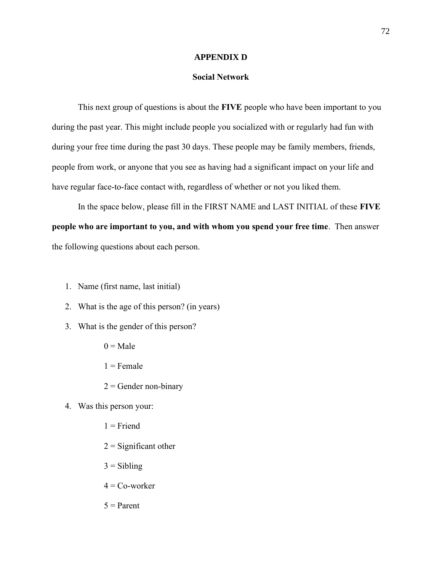#### **APPENDIX D**

### **Social Network**

This next group of questions is about the **FIVE** people who have been important to you during the past year. This might include people you socialized with or regularly had fun with during your free time during the past 30 days. These people may be family members, friends, people from work, or anyone that you see as having had a significant impact on your life and have regular face-to-face contact with, regardless of whether or not you liked them.

In the space below, please fill in the FIRST NAME and LAST INITIAL of these **FIVE people who are important to you, and with whom you spend your free time**. Then answer the following questions about each person.

- 1. Name (first name, last initial)
- 2. What is the age of this person? (in years)
- 3. What is the gender of this person?
	- $0 = Male$
	- $1$  = Female
	- $2 =$ Gender non-binary
- 4. Was this person your:
	- $1 =$ Friend
	- $2 =$ Significant other
	- $3 = Sibling$
	- $4 = Co$ -worker
	- $5 =$ Parent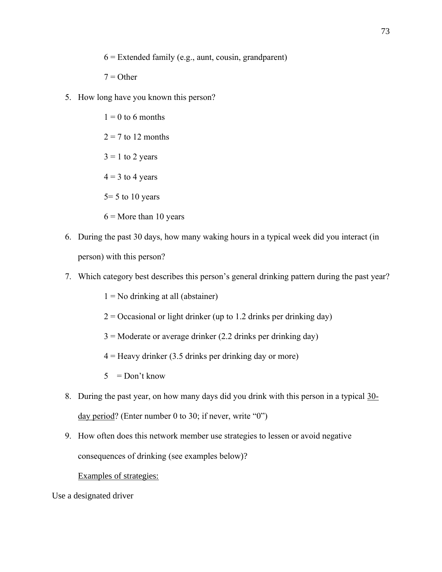- $6$  = Extended family (e.g., aunt, cousin, grandparent)
- $7 =$ Other
- 5. How long have you known this person?
	- $1 = 0$  to 6 months
	- $2 = 7$  to 12 months
	- $3 = 1$  to 2 years
	- $4 = 3$  to 4 years
	- $5=5$  to 10 years
	- $6 =$ More than 10 years
- 6. During the past 30 days, how many waking hours in a typical week did you interact (in person) with this person?
- 7. Which category best describes this person's general drinking pattern during the past year?
	- $1 = No$  drinking at all (abstainer)
	- $2 =$ Occasional or light drinker (up to 1.2 drinks per drinking day)
	- $3 =$  Moderate or average drinker (2.2 drinks per drinking day)
	- $4 =$  Heavy drinker (3.5 drinks per drinking day or more)
	- $5 = Don't know$
- 8. During the past year, on how many days did you drink with this person in a typical 30 day period? (Enter number 0 to 30; if never, write "0")
- 9. How often does this network member use strategies to lessen or avoid negative consequences of drinking (see examples below)?

### Examples of strategies:

Use a designated driver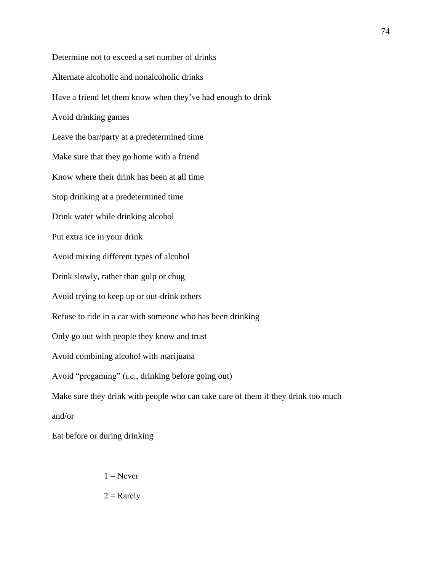Determine not to exceed a set number of drinks Alternate alcoholic and nonalcoholic drinks Have a friend let them know when they've had enough to drink Avoid drinking games Leave the bar/party at a predetermined time Make sure that they go home with a friend Know where their drink has been at all time Stop drinking at a predetermined time Drink water while drinking alcohol Put extra ice in your drink Avoid mixing different types of alcohol Drink slowly, rather than gulp or chug Avoid trying to keep up or out-drink others Refuse to ride in a car with someone who has been drinking Only go out with people they know and trust Avoid combining alcohol with marijuana Avoid "pregaming" (i.e., drinking before going out) Make sure they drink with people who can take care of them if they drink too much and/or

Eat before or during drinking

 $1 =$ Never

74

 $2 =$ Rarely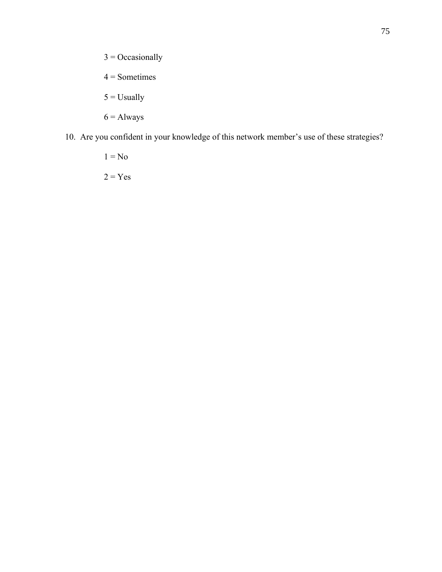- $3 =$ Occasionally
- $4 =$ Sometimes
- $5 =$ Usually
- $6 =$  Always
- 10. Are you confident in your knowledge of this network member's use of these strategies?
	- $1 = No$
	- $2 = Yes$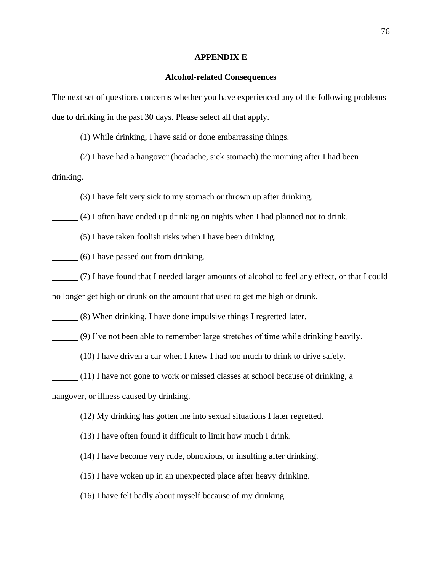#### **APPENDIX E**

#### **Alcohol-related Consequences**

The next set of questions concerns whether you have experienced any of the following problems due to drinking in the past 30 days. Please select all that apply.

(1) While drinking, I have said or done embarrassing things.

(2) I have had a hangover (headache, sick stomach) the morning after I had been drinking.

(3) I have felt very sick to my stomach or thrown up after drinking.

(4) I often have ended up drinking on nights when I had planned not to drink.

(5) I have taken foolish risks when I have been drinking.

(6) I have passed out from drinking.

(7) I have found that I needed larger amounts of alcohol to feel any effect, or that I could no longer get high or drunk on the amount that used to get me high or drunk.

(8) When drinking, I have done impulsive things I regretted later.

(9) I've not been able to remember large stretches of time while drinking heavily.

(10) I have driven a car when I knew I had too much to drink to drive safely.

(11) I have not gone to work or missed classes at school because of drinking, a

hangover, or illness caused by drinking.

(12) My drinking has gotten me into sexual situations I later regretted.

- (13) I have often found it difficult to limit how much I drink.
- (14) I have become very rude, obnoxious, or insulting after drinking.
- (15) I have woken up in an unexpected place after heavy drinking.
- (16) I have felt badly about myself because of my drinking.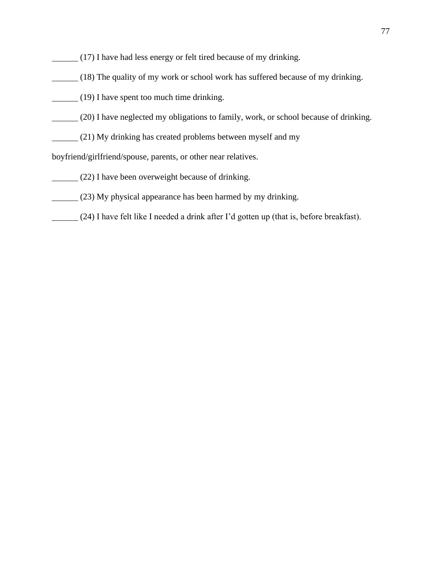- (17) I have had less energy or felt tired because of my drinking.
- (18) The quality of my work or school work has suffered because of my drinking.
- (19) I have spent too much time drinking.
- (20) I have neglected my obligations to family, work, or school because of drinking.
- (21) My drinking has created problems between myself and my

boyfriend/girlfriend/spouse, parents, or other near relatives.

- (22) I have been overweight because of drinking.
- (23) My physical appearance has been harmed by my drinking.
- (24) I have felt like I needed a drink after I'd gotten up (that is, before breakfast).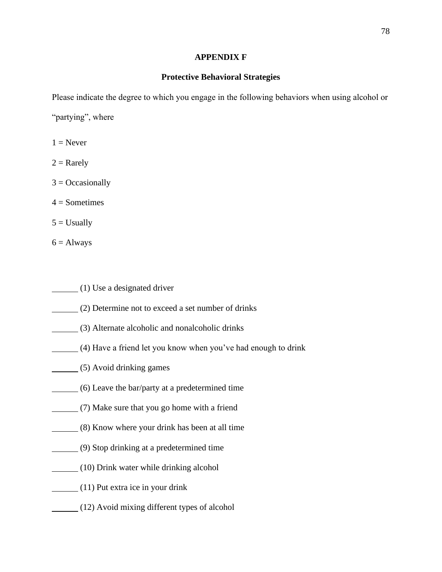### **APPENDIX F**

### **Protective Behavioral Strategies**

Please indicate the degree to which you engage in the following behaviors when using alcohol or "partying", where

 $1 =$  Never

 $2 =$ Rarely

 $3 = Occasionally$ 

 $4 =$ Sometimes

 $5 =$  Usually

 $6 =$  Always

- (1) Use a designated driver
- (2) Determine not to exceed a set number of drinks
- (3) Alternate alcoholic and nonalcoholic drinks
- (4) Have a friend let you know when you've had enough to drink
- (5) Avoid drinking games
- (6) Leave the bar/party at a predetermined time
- (7) Make sure that you go home with a friend
- (8) Know where your drink has been at all time
- (9) Stop drinking at a predetermined time
- (10) Drink water while drinking alcohol
- (11) Put extra ice in your drink
- (12) Avoid mixing different types of alcohol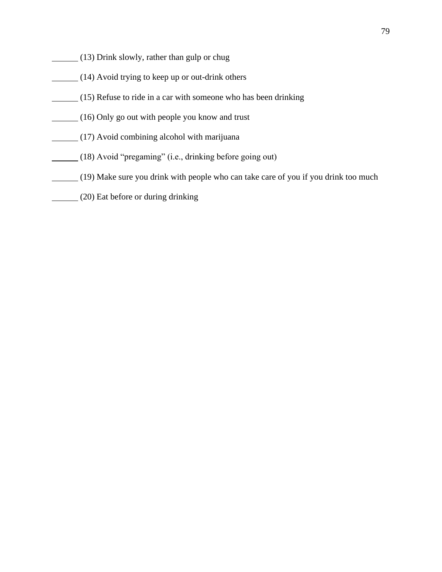- (13) Drink slowly, rather than gulp or chug
- (14) Avoid trying to keep up or out-drink others
- (15) Refuse to ride in a car with someone who has been drinking
- (16) Only go out with people you know and trust
- (17) Avoid combining alcohol with marijuana
- (18) Avoid "pregaming" (i.e., drinking before going out)
- (19) Make sure you drink with people who can take care of you if you drink too much
- (20) Eat before or during drinking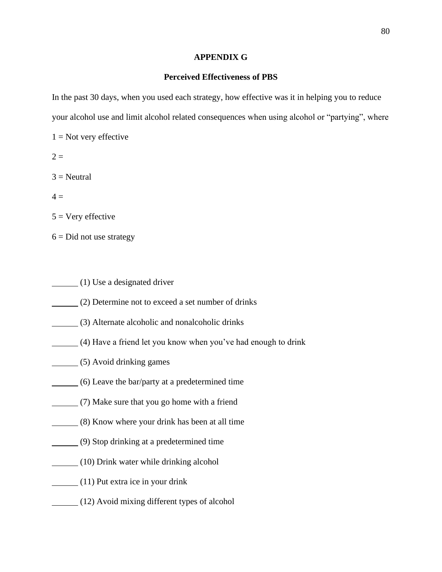### **APPENDIX G**

### **Perceived Effectiveness of PBS**

In the past 30 days, when you used each strategy, how effective was it in helping you to reduce your alcohol use and limit alcohol related consequences when using alcohol or "partying", where

 $1 =$  Not very effective

 $2 =$ 

 $3$  = Neutral

 $4 =$ 

 $5 =$  Very effective

- $6 = Did$  not use strategy
- (1) Use a designated driver
- (2) Determine not to exceed a set number of drinks
- (3) Alternate alcoholic and nonalcoholic drinks
- (4) Have a friend let you know when you've had enough to drink
- (5) Avoid drinking games
- (6) Leave the bar/party at a predetermined time
- (7) Make sure that you go home with a friend
- (8) Know where your drink has been at all time
- (9) Stop drinking at a predetermined time
- (10) Drink water while drinking alcohol
- (11) Put extra ice in your drink
- (12) Avoid mixing different types of alcohol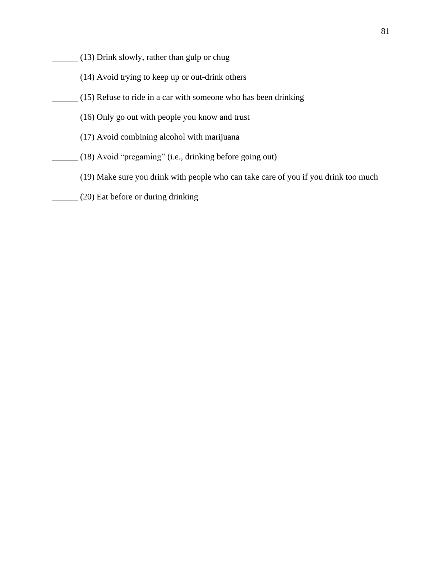- (13) Drink slowly, rather than gulp or chug
- (14) Avoid trying to keep up or out-drink others
- (15) Refuse to ride in a car with someone who has been drinking
- (16) Only go out with people you know and trust
- (17) Avoid combining alcohol with marijuana
- (18) Avoid "pregaming" (i.e., drinking before going out)
- (19) Make sure you drink with people who can take care of you if you drink too much
- (20) Eat before or during drinking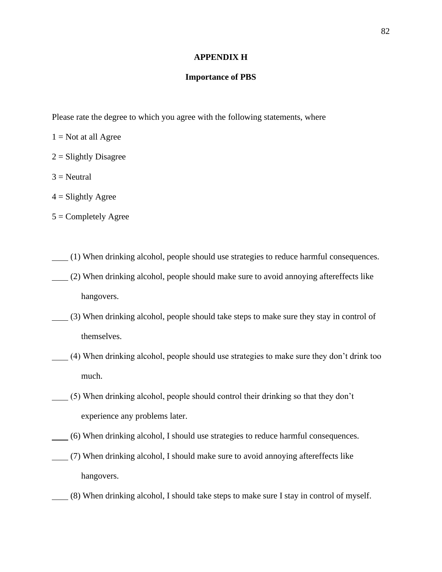#### **APPENDIX H**

#### **Importance of PBS**

Please rate the degree to which you agree with the following statements, where

- $1 = Not$  at all Agree
- $2 =$ Slightly Disagree
- $3$  = Neutral
- $4 =$  Slightly Agree
- $5 =$  Completely Agree
- (1) When drinking alcohol, people should use strategies to reduce harmful consequences.
- (2) When drinking alcohol, people should make sure to avoid annoying aftereffects like hangovers.
- (3) When drinking alcohol, people should take steps to make sure they stay in control of themselves.
- (4) When drinking alcohol, people should use strategies to make sure they don't drink too much.
- (5) When drinking alcohol, people should control their drinking so that they don't experience any problems later.
- (6) When drinking alcohol, I should use strategies to reduce harmful consequences.
- (7) When drinking alcohol, I should make sure to avoid annoying aftereffects like hangovers.
- (8) When drinking alcohol, I should take steps to make sure I stay in control of myself.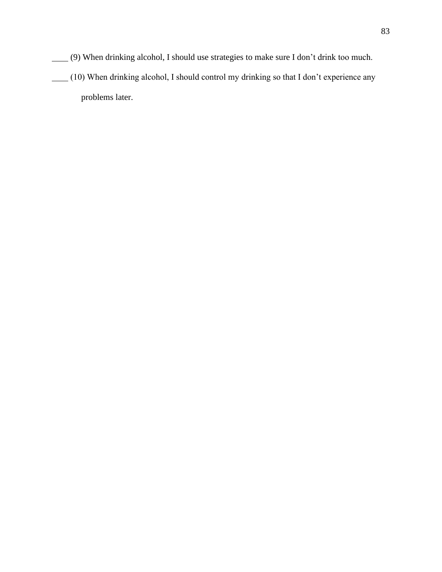- (9) When drinking alcohol, I should use strategies to make sure I don't drink too much.
- (10) When drinking alcohol, I should control my drinking so that I don't experience any problems later.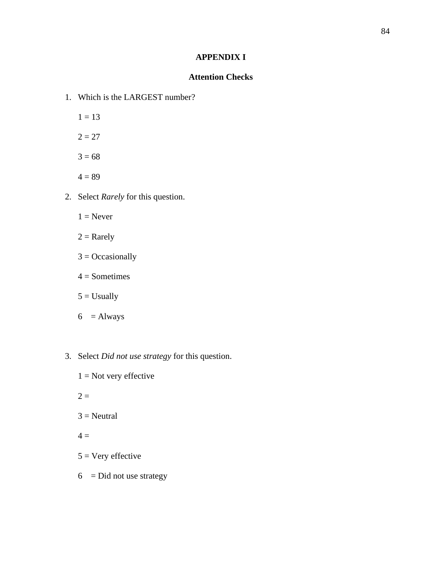# **APPENDIX I**

### **Attention Checks**

- 1. Which is the LARGEST number?
	- $1 = 13$
	- $2 = 27$
	- $3 = 68$
	- $4 = 89$
- 2. Select *Rarely* for this question.
	- $1 =$  Never
	- $2 =$ Rarely
	- $3 =$ Occasionally
	- $4 =$ Sometimes
	- $5 =$  Usually
	- $6 =$ Always
- 3. Select *Did not use strategy* for this question.
	- $1 = Not$  very effective
	- $2 =$
	- $3$  = Neutral
	- $4 =$
	- $5 = \text{Very effective}$
	- $6 = Did not use strategy$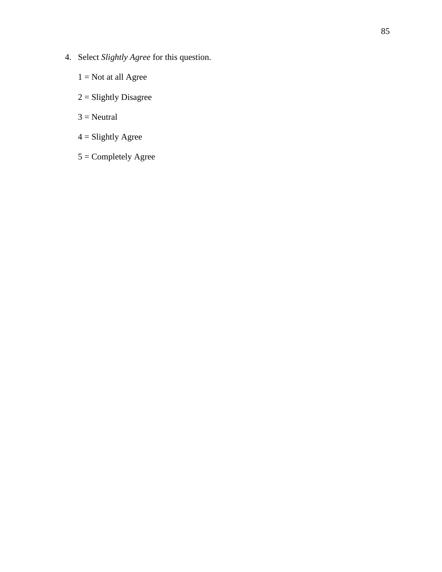- 4. Select *Slightly Agree* for this question.
	- $1 = Not$  at all Agree
	- $2 =$ Slightly Disagree
	- $3$  = Neutral
	- $4 =$  Slightly Agree
	- 5 = Completely Agree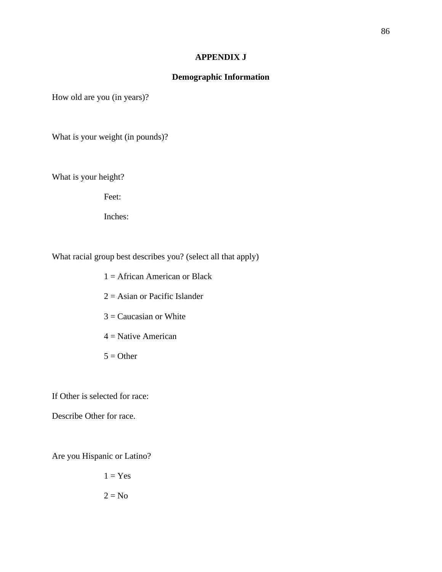### **APPENDIX J**

### **Demographic Information**

How old are you (in years)?

What is your weight (in pounds)?

What is your height?

Feet:

Inches:

What racial group best describes you? (select all that apply)

- $1 =$  African American or Black
- $2 =$  Asian or Pacific Islander
- $3 =$ Caucasian or White
- $4$  = Native American
- $5 =$  Other

If Other is selected for race:

Describe Other for race.

Are you Hispanic or Latino?

 $1 = Yes$  $2 = No$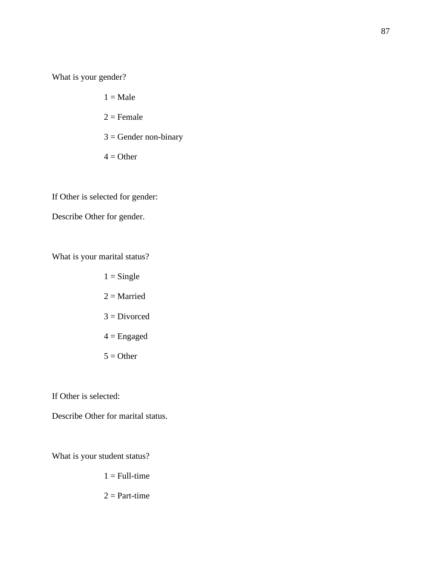What is your gender?

- $1 = Male$  $2 =$ Female  $3 =$  Gender non-binary
- $4 = Other$

If Other is selected for gender:

Describe Other for gender.

What is your marital status?

 $1 =$ Single  $2 =$ Married  $3 = Divorced$  $4 =$ Engaged  $5 =$  Other

If Other is selected:

Describe Other for marital status.

What is your student status?

 $1 = Full-time$ 

 $2 = Part-time$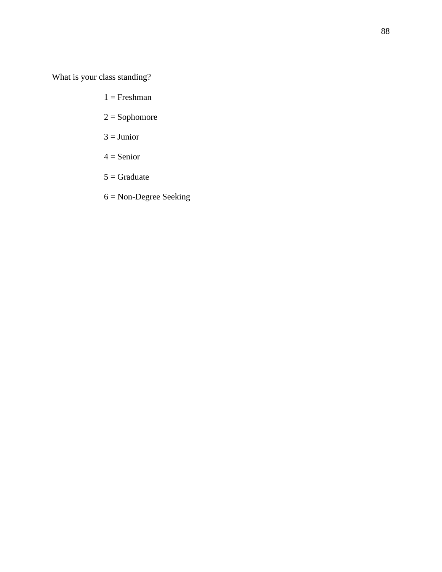What is your class standing?

- $1 =$ Freshman
- 2 = Sophomore
- $3 =$  Junior
- $4 =$ Senior
- $5 =$ Graduate
- 6 = Non-Degree Seeking